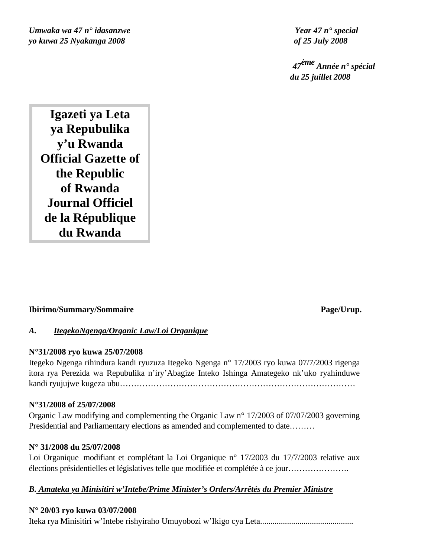*Umwaka wa 47 n° idasanzwe Year 47 n° special yo kuwa 25 Nyakanga 2008 of 25 July 2008*

 *47ème Année n° spécial du 25 juillet 2008*

**Igazeti ya Leta ya Repubulika y'u Rwanda Official Gazette of the Republic of Rwanda Journal Officiel de la République du Rwanda**

## **Ibirimo/Summary/Sommaire Page/Urup.**

## *A. ItegekoNgenga/Organic Law/Loi Organique*

## **N°31/2008 ryo kuwa 25/07/2008**

Itegeko Ngenga rihindura kandi ryuzuza Itegeko Ngenga n° 17/2003 ryo kuwa 07/7/2003 rigenga itora rya Perezida wa Repubulika n'iry'Abagize Inteko Ishinga Amategeko nk'uko ryahinduwe kandi ryujujwe kugeza ubu…………………………………………………………………………

## **N°31/2008 of 25/07/2008**

Organic Law modifying and complementing the Organic Law n° 17/2003 of 07/07/2003 governing Presidential and Parliamentary elections as amended and complemented to date………

## **N° 31/2008 du 25/07/2008**

Loi Organique modifiant et complétant la Loi Organique n° 17/2003 du 17/7/2003 relative aux élections présidentielles et législatives telle que modifiée et complétée à ce jour………………….

## *B. Amateka ya Minisitiri w'Intebe/Prime Minister's Orders/Arrêtés du Premier Ministre*

## **N° 20/03 ryo kuwa 03/07/2008**

Iteka rya Minisitiri w'Intebe rishyiraho Umuyobozi w'Ikigo cya Leta.............................................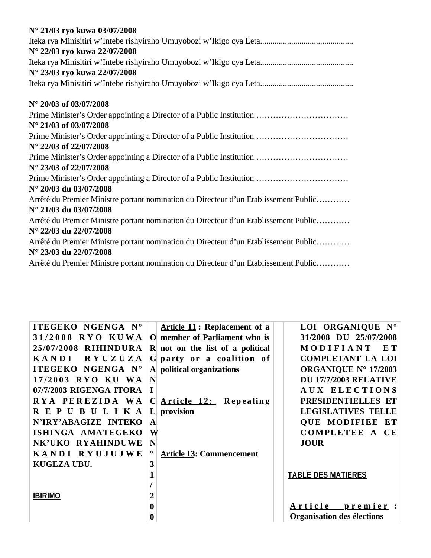| N° 21/03 ryo kuwa 03/07/2008                                                         |
|--------------------------------------------------------------------------------------|
|                                                                                      |
| N° 22/03 ryo kuwa 22/07/2008                                                         |
|                                                                                      |
| N° 23/03 ryo kuwa 22/07/2008                                                         |
|                                                                                      |
| N° 20/03 of 03/07/2008                                                               |
| Prime Minister's Order appointing a Director of a Public Institution                 |
| $N^{\circ}$ 21/03 of 03/07/2008                                                      |
| Prime Minister's Order appointing a Director of a Public Institution                 |
| N° 22/03 of 22/07/2008                                                               |
| Prime Minister's Order appointing a Director of a Public Institution                 |
| N° 23/03 of 22/07/2008                                                               |
| Prime Minister's Order appointing a Director of a Public Institution                 |
| N° 20/03 du 03/07/2008                                                               |
| Arrêté du Premier Ministre portant nomination du Directeur d'un Etablissement Public |
| N° 21/03 du 03/07/2008                                                               |
| Arrêté du Premier Ministre portant nomination du Directeur d'un Etablissement Public |
| N° 22/03 du 22/07/2008                                                               |
| Arrêté du Premier Ministre portant nomination du Directeur d'un Etablissement Public |
| N° 23/03 du 22/07/2008                                                               |
| Arrêté du Premier Ministre portant nomination du Directeur d'un Etablissement Public |

| ITEGEKO NGENGA N°              |                  | <b>Article 11: Replacement of a</b> | LOI ORGANIQUE N°             |
|--------------------------------|------------------|-------------------------------------|------------------------------|
| 31/2008 RYO KUWA               |                  | O member of Parliament who is       | 31/2008 DU 25/07/2008        |
| 25/07/2008 RIHINDURA           |                  | $R$ not on the list of a political  | MODIFIANT<br>E T             |
| <b>RYUZUZA</b><br><b>KANDI</b> |                  | G party or a coalition of           | <b>COMPLETANT LA LOI</b>     |
| ITEGEKO NGENGA N°              |                  | A political organizations           | <b>ORGANIQUE N° 17/2003</b>  |
| 17/2003 RYO KU WA              | N                |                                     | <b>DU 17/7/2003 RELATIVE</b> |
| 07/7/2003 RIGENGA ITORA        | I                |                                     | AUX ELECTIONS                |
| RYA PEREZIDA WA                | $\mathbf C$      | Article 12: Repealing               | PRESIDENTIELLES ET           |
| R E P U B U L I K A            | $\mathbf{L}$     | provision                           | <b>LEGISLATIVES TELLE</b>    |
| N'IRY'ABAGIZE INTEKO           | $\mathbf{A}$     |                                     | <b>QUE MODIFIEE ET</b>       |
| ISHINGA AMATEGEKO              | W                |                                     | COMPLETEE A CE               |
| NK'UKO RYAHINDUWE              | N                |                                     | <b>JOUR</b>                  |
| KANDI RYUJUJWE                 | $\circ$          | <b>Article 13: Commencement</b>     |                              |
| KUGEZA UBU.                    | 3                |                                     |                              |
|                                |                  |                                     | <b>TABLE DES MATIERES</b>    |
|                                |                  |                                     |                              |
| <b>IBIRIMO</b>                 | $\boldsymbol{2}$ |                                     |                              |
|                                | $\bf{0}$         |                                     | Article premier:             |
|                                | $\bf{0}$         |                                     | Organisation des élections   |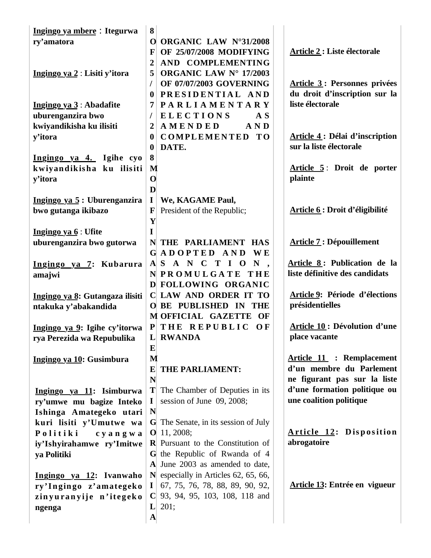| Ingingo ya mbere: Itegurwa      | 8                |                                                 |                                       |
|---------------------------------|------------------|-------------------------------------------------|---------------------------------------|
| ry'amatora                      | $\mathbf{O}$     | <b>ORGANIC LAW N°31/2008</b>                    |                                       |
|                                 | F                | OF 25/07/2008 MODIFYING                         | <b>Article 2 : Liste électorale</b>   |
|                                 | $\overline{2}$   | AND COMPLEMENTING                               |                                       |
| Ingingo ya 2 : Lisiti y'itora   | 5                | ORGANIC LAW N° 17/2003                          |                                       |
|                                 | 1                | OF 07/07/2003 GOVERNING                         | <b>Article 3: Personnes privées</b>   |
|                                 | $\bf{0}$         | PRESIDENTIAL AND                                | du droit d'inscription sur la         |
| Ingingo ya $3:$ Abadafite       | 7                | <b>PARLIAMENTARY</b>                            | liste électorale                      |
| uburenganzira bwo               | T                | <b>ELECTIONS</b><br>A S                         |                                       |
| kwiyandikisha ku ilisiti        | $\overline{2}$   | AND<br>AMENDED                                  |                                       |
| y'itora                         | $\boldsymbol{0}$ | <b>COMPLEMENTED TO</b>                          | <b>Article 4: Délai d'inscription</b> |
|                                 | $\boldsymbol{0}$ | DATE.                                           | sur la liste électorale               |
| Ingingo ya 4. Igihe cyo         | 8                |                                                 |                                       |
| kwiyandikisha ku ilisiti        | M                |                                                 | Article 5: Droit de porter            |
| y'itora                         | $\mathbf 0$      |                                                 | plainte                               |
|                                 | D                |                                                 |                                       |
| Ingingo ya 5: Uburenganzira     | $\mathbf I$      | We, KAGAME Paul,                                |                                       |
| bwo gutanga ikibazo             | $\mathbf{F}$     | President of the Republic;                      | Article 6 : Droit d'éligibilité       |
|                                 | Y                |                                                 |                                       |
| Ingingo ya $6:$ Ufite           | $\mathbf I$      |                                                 |                                       |
| uburenganzira bwo gutorwa       |                  | N THE PARLIAMENT HAS                            | <b>Article 7: Dépouillement</b>       |
|                                 |                  | GADOPTED AND WE                                 |                                       |
| Ingingo ya 7: Kubarura          |                  | $A$ S A N C T I O N                             | Article 8: Publication de la          |
| amajwi                          |                  | NPROMULGATE THE                                 | liste définitive des candidats        |
|                                 |                  | D FOLLOWING ORGANIC                             |                                       |
| Ingingo ya 8: Gutangaza ilisiti |                  | C LAW AND ORDER IT TO                           | Article 9: Période d'élections        |
| ntakuka y'abakandida            |                  | O BE PUBLISHED IN THE                           | présidentielles                       |
|                                 |                  | M OFFICIAL GAZETTE OF                           |                                       |
| Ingingo ya 9: Igihe cy'itorwa   | P                | THE REPUBLIC OF                                 | <b>Article 10: Dévolution d'une</b>   |
| rya Perezida wa Repubulika      |                  | L RWANDA                                        | place vacante                         |
|                                 | E                |                                                 |                                       |
| Ingingo ya 10: Gusimbura        | M                |                                                 | <b>Article 11 : Remplacement</b>      |
|                                 | E                | THE PARLIAMENT:                                 | d'un membre du Parlement              |
|                                 | N                |                                                 | ne figurant pas sur la liste          |
| Ingingo ya 11: Isimburwa        | T                | The Chamber of Deputies in its                  | d'une formation politique ou          |
| ry'umwe mu bagize Inteko        | $\bf{I}$         | session of June 09, 2008;                       | une coalition politique               |
| Ishinga Amategeko utari         | N                |                                                 |                                       |
| kuri lisiti y'Umutwe wa         |                  | <b>G</b> The Senate, in its session of July     |                                       |
| Politiki<br>cyangwa             |                  | $O$ 11, 2008;                                   | <b>Article 12: Disposition</b>        |
| iy'Ishyirahamwe ry'Imitwe       |                  | $\bf{R}$ Pursuant to the Constitution of        | abrogatoire                           |
| ya Politiki                     |                  | G the Republic of Rwanda of 4                   |                                       |
|                                 |                  | A June 2003 as amended to date,                 |                                       |
| Ingingo ya 12: Ivanwaho         |                  | $\mathbf{N}$ especially in Articles 62, 65, 66, |                                       |
| ry'Ingingo z'amategeko          | $\mathbf{I}$     | $\vert$ 67, 75, 76, 78, 88, 89, 90, 92,         | Article 13: Entrée en vigueur         |
| zinyuranyije n'itegeko          |                  | C 93, 94, 95, 103, 108, 118 and                 |                                       |
| ngenga                          | $\mathbf{L}$     | 201;                                            |                                       |
|                                 | $\mathbf A$      |                                                 |                                       |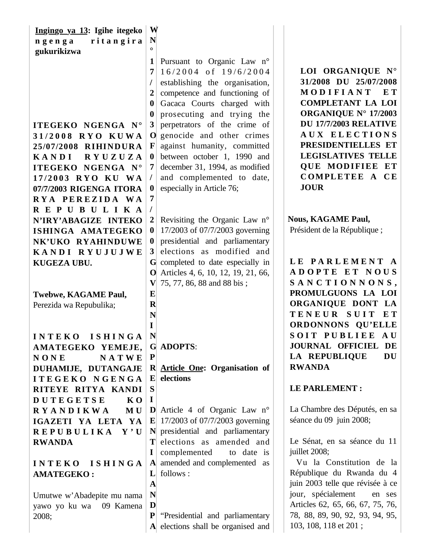| Ingingo ya 13: Igihe itegeko       | W                |                                                                    |                                  |
|------------------------------------|------------------|--------------------------------------------------------------------|----------------------------------|
| ritangira<br>ngenga                | $\mathbf N$      |                                                                    |                                  |
| gukurikizwa                        | $\Omega$         |                                                                    |                                  |
|                                    | 1                | Pursuant to Organic Law n°                                         |                                  |
|                                    | 7                | $16/2004$ of $19/6/2004$                                           | LOI ORGANIQUE N°                 |
|                                    | $\prime$         | establishing the organisation,                                     | 31/2008 DU 25/07/2008            |
|                                    |                  | competence and functioning of                                      | MODIFIANT<br>E T                 |
|                                    | $\bf{0}$         | Gacaca Courts charged with                                         | <b>COMPLETANT LA LOI</b>         |
|                                    | $\bf{0}$         | prosecuting and trying the                                         | ORGANIQUE N° 17/2003             |
| ITEGEKO NGENGA N°                  | $\mathbf{3}$     | perpetrators of the crime of                                       | <b>DU 17/7/2003 RELATIVE</b>     |
| 31/2008 RYO KUWA                   | $\mathbf O$      | genocide and other crimes                                          | AUX ELECTIONS                    |
| 25/07/2008 RIHINDURA               | $\mathbf F$      | against humanity, committed                                        | PRESIDENTIELLES ET               |
| <b>KANDI</b><br>RYUZUZA            | $\bf{0}$         | between october 1, 1990 and                                        | <b>LEGISLATIVES TELLE</b>        |
| ITEGEKO NGENGA N°                  | 7                | december 31, 1994, as modified                                     | <b>QUE MODIFIEE ET</b>           |
| 17/2003 RYO KU WA                  | $\prime$         | and complemented to date,                                          | COMPLETEE A CE                   |
| 07/7/2003 RIGENGA ITORA            | $\boldsymbol{0}$ | especially in Article 76;                                          | <b>JOUR</b>                      |
| RYA PEREZIDA WA                    | 7                |                                                                    |                                  |
| REPUBULIKA                         | $\prime$         |                                                                    |                                  |
| N'IRY'ABAGIZE INTEKO               | $\boldsymbol{2}$ | Revisiting the Organic Law n°                                      | <b>Nous, KAGAME Paul,</b>        |
| ISHINGA AMATEGEKO                  | $\boldsymbol{0}$ | 17/2003 of 07/7/2003 governing                                     | Président de la République;      |
| NK'UKO RYAHINDUWE                  | $\bf{0}$         | presidential and parliamentary                                     |                                  |
| KANDI RYUJUJWE                     | 3                | elections as modified and                                          |                                  |
| KUGEZA UBU.                        |                  | G completed to date especially in                                  | LE PARLEMENT A                   |
|                                    | $\mathbf{O}$     | Articles 4, 6, 10, 12, 19, 21, 66,                                 | ADOPTE ET NOUS                   |
|                                    | $\mathbf{V}$     | 75, 77, 86, 88 and 88 bis;                                         | SANCTIONNONS,                    |
| Twebwe, KAGAME Paul,               | E                |                                                                    | PROMULGUONS LA LOI               |
| Perezida wa Repubulika;            | $\mathbf R$      |                                                                    | ORGANIQUE DONT LA                |
|                                    | N                |                                                                    | TENEUR SUIT<br>$E$ T             |
|                                    | I                |                                                                    | ORDONNONS OU'ELLE                |
| <b>INTEKO</b><br><b>ISHINGA</b>    | N                |                                                                    | SOIT PUBLIEE AU                  |
| AMATEGEKO YEMEJE,                  |                  | <b>G ADOPTS:</b>                                                   | <b>JOURNAL OFFICIEL</b><br>DE    |
| <b>NATWE</b><br><b>NONE</b>        | ${\bf P}$        |                                                                    | LA REPUBLIQUE<br>DU              |
| DUHAMIJE, DUTANGAJE                |                  | R Article One: Organisation of                                     | <b>RWANDA</b>                    |
| <b>ITEGEKO NGENGA</b>              | $\mathbf{E}$     | elections                                                          | <b>LE PARLEMENT:</b>             |
| RITEYE RITYA KANDI                 | S                |                                                                    |                                  |
| <b>DUTEGETSE</b><br>K <sub>0</sub> | $\bf{I}$         |                                                                    | La Chambre des Députés, en sa    |
| <b>RYANDIKWA</b><br>MU             |                  | <b>D</b> Article 4 of Organic Law $n^{\circ}$                      | séance du 09 juin 2008;          |
| IGAZETI YA LETA YA                 | $\mathbf{E}$     | 17/2003 of 07/7/2003 governing<br>N presidential and parliamentary |                                  |
| REPUBULIKA Y'U                     | Т                | elections as amended and                                           | Le Sénat, en sa séance du 11     |
| <b>RWANDA</b>                      |                  |                                                                    | juillet 2008;                    |
| <b>ISHINGA</b><br><b>INTEKO</b>    | 1<br>$ {\bf A} $ | complemented<br>to date is<br>amended and complemented as          | Vu la Constitution de la         |
|                                    | L                | follows:                                                           | République du Rwanda du 4        |
| <b>AMATEGEKO:</b>                  | $\mathbf A$      |                                                                    | juin 2003 telle que révisée à ce |
|                                    | N                |                                                                    | jour, spécialement<br>en ses     |
| Umutwe w'Abadepite mu nama         | D                |                                                                    | Articles 62, 65, 66, 67, 75, 76, |
| yawo yo ku wa 09 Kamena            | ${\bf P}$        | "Presidential and parliamentary                                    | 78, 88, 89, 90, 92, 93, 94, 95,  |
| 2008;                              |                  |                                                                    |                                  |
|                                    |                  | A elections shall be organised and                                 | 103, 108, 118 et 201;            |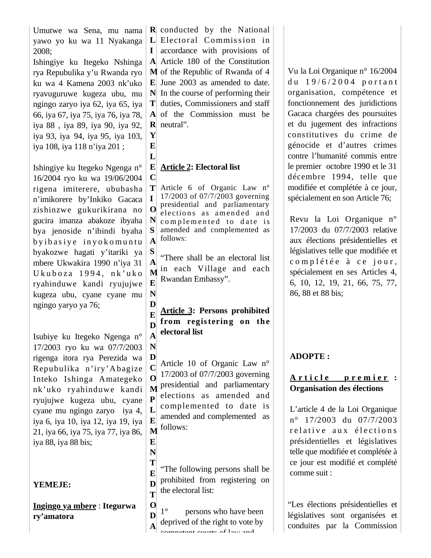Umutwe wa Sena, mu nama yawo yo ku wa 11 Nyakanga 2008;

Ishingiye ku Itegeko Nshinga rya Repubulika y'u Rwanda ryo ku wa 4 Kamena 2003 nk'uko ryavuguruwe kugeza ubu, mu ngingo zaryo iya 62, iya 65, iya 66, iya 67, iya 75, iya 76, iya 78, iya 88 , iya 89, iya 90, iya 92, iya 93, iya 94, iya 95, iya 103, iya 108, iya 118 n'iya 201 ;

Ishingiye ku Itegeko Ngenga n° 16/2004 ryo ku wa 19/06/2004 rigena imiterere, ububasha n'imikorere by'Inkiko Gacaca zishinzwe gukurikirana no gucira imanza abakoze ibyaha bya jenoside n'ibindi byaha by i basiye inyo komuntu byakozwe hagati y'itariki ya mbere Ukwakira 1990 n'iya 31 U kuboza 1994, nk'uko ryahinduwe kandi ryujujwe kugeza ubu, cyane cyane mu ngingo yaryo ya 76;

Isubiye ku Itegeko Ngenga n° 17/2003 ryo ku wa 07/7/2003 rigenga itora rya Perezida wa Repubulika n'iry'A bagize Inteko Ishinga Amategeko nk'uko ryahinduwe kandi ryujujwe kugeza ubu, cyane cyane mu ngingo zaryo iya 4, iya 6, iya 10, iya 12, iya 19, iya 21, iya 66, iya 75, iya 77, iya 86, iya 88, iya 88 bis;

**YEMEJE:**

**Ingingo ya mbere** : **Itegurwa ry'amatora** 

**R** conducted by the National L Electoral Commission in **I** accordance with provisions of **A** Article 180 of the Constitution **M** of the Republic of Rwanda of 4 **E** June 2003 as amended to date. **N** In the course of performing their **T** duties, Commissioners and staff **A** of the Commission must be **R** neutral".

**E**  $\mathbf{L}$ 

**N**

**N**

**E N**

**Y**

#### **E C Article 2: Electoral list**

**T I O N S A** Article 6 of Organic Law n° 17/2003 of 07/7/2003 governing presidential and parliamentary elections as amended and complemented to date is amended and complemented as follows:

**S A M E** "There shall be an electoral list in each Village and each Rwandan Embassy".

**D E D A Article 3: Persons prohibited from registering on the electoral list** 

**D C O M P L E M** Article 10 of Organic Law n° 17/2003 of 07/7/2003 governing presidential and parliamentary elections as amended and complemented to date is amended and complemented as follows:

**T E D T** "The following persons shall be prohibited from registering on the electoral list:

**O D A** 1° persons who have been deprived of the right to vote by competent courts of law and

Vu la Loi Organique n° 16/2004 du 19/6/2004 portant organisation, compétence et fonctionnement des juridictions Gacaca chargées des poursuites et du jugement des infractions constitutives du crime de génocide et d'autres crimes contre l'humanité commis entre le premier octobre 1990 et le 31 décembre 1994, telle que modifiée et complétée à ce jour, spécialement en son Article 76;

Revu la Loi Organique n° 17/2003 du 07/7/2003 relative aux élections présidentielles et législatives telle que modifiée et complétée à ce jour, spécialement en ses Articles 4, 6, 10, 12, 19, 21, 66, 75, 77, 86, 88 et 88 bis;

# **ADOPTE :**

## **A r t i c l e p r e m i e r : Organisation des élections**

L'article 4 de la Loi Organique n° 17/2003 du 07/7/2003 relative aux élections présidentielles et législatives telle que modifiée et complétée à ce jour est modifié et complété comme suit :

"Les élections présidentielles et législatives sont organisées et conduites par la Commission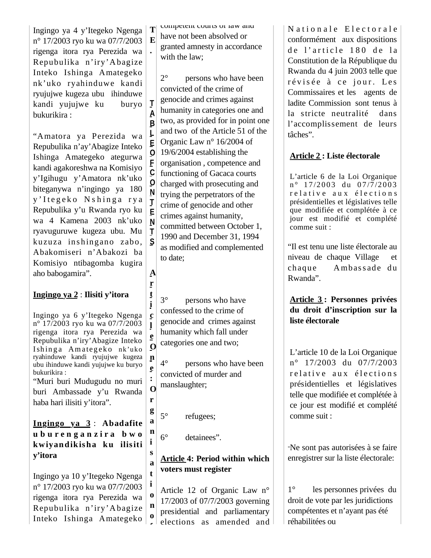Ingingo ya 4 y'Itegeko Ngenga n° 17/2003 ryo ku wa 07/7/2003 rigenga itora rya Perezida wa Repubulika n'iry'A bagize Inteko Ishinga Amategeko nk'uko ryahinduwe kandi ryujujwe kugeza ubu ihinduwe kandi yujujwe ku buryo bukurikira :

"Amatora ya Perezida wa Repubulika n'ay'Abagize Inteko Ishinga Amategeko ategurwa kandi agakoreshwa na Komisiyo y'Igihugu y'Amatora nk'uko biteganywa n'ingingo ya 180 y'Itegeko Nshinga rya Repubulika y'u Rwanda ryo ku wa 4 Kamena 2003 nk'uko ryavuguruwe kugeza ubu. Mu kuzuza ins hingano zabo, Abakomiseri n'Abakozi ba Komisiyo ntibagomba kugira aho babogamira".

## **Ingingo ya 2** : **Ilisiti y'itora**

Ingingo ya 6 y'Itegeko Ngenga n° 17/2003 ryo ku wa 07/7/2003 rigenga itora rya Perezida wa Repubulika n'iry'Abagize Inteko Ishinga Amategeko nk'uko ryahinduwe kandi ryujujwe kugeza ubu ihinduwe kandi yujujwe ku buryo bukurikira :

"Muri buri Mudugudu no muri buri Ambassade y'u Rwanda haba hari ilisiti y'itora".

**Ingingo ya 3** : **Abadafite u b u r e n g a n z i r a b w o kwiyandikisha ku ilisiti y'itora**

Ingingo ya 10 y'Itegeko Ngenga n° 17/2003 ryo ku wa 07/7/2003 rigenga itora rya Perezida wa Repubulika n'iry'A bagize Inteko Ishinga Amategeko

**T E** competent courts or law and have not been absolved or granted amnesty in accordance with the law;

2° persons who have been convicted of the crime of genocide and crimes against humanity in categories one and two, as provided for in point one and two of the Article 51 of the Organic Law n° 16/2004 of 19/6/2004 establishing the organisation , competence and functioning of Gacaca courts charged with prosecuting and trying the perpetrators of the crime of genocide and other crimes against humanity, committed between October 1, 1990 and December 31, 1994 as modified and complemented to date;

**A r**

**t i c l e O n e : O r g a n i s a t i o**

**.**

**T A B L E O F C O N T E N T S**

> 3° persons who have confessed to the crime of genocide and crimes against humanity which fall under categories one and two;

4° persons who have been convicted of murder and manslaughter;

**o f** 

5° refugees;

6° detainees".

# **Article 4: Period within which voters must register**

**n**  Article 12 of Organic Law n° 17/2003 of 07/7/2003 governing presidential and parliamentary elections as amended and Nationale Electorale conformément aux dispositions de l'article 180 de la Constitution de la République du Rwanda du 4 juin 2003 telle que révisée à ce jour. Les Commissaires et les agents de ladite Commission sont tenus à la stricte neutralité dans l'accomplissement de leurs tâches".

# **Article 2 : Liste électorale**

L'article 6 de la Loi Organique  $n^{\circ}$  17/2003 du 07/7/2003 r e lative aux élections présidentielles et législatives telle que modifiée et complétée à ce jour est modifié et complété comme suit :

"Il est tenu une liste électorale au niveau de chaque Village et chaque A mbas s ade du Rwanda".

**Article 3 : Personnes privées du droit d'inscription sur la liste électorale**

L'article 10 de la Loi Organique n° 17/2003 du 07/7/2003 relative aux élections présidentielles et législatives telle que modifiée et complétée à ce jour est modifié et complété comme suit :

"Ne sont pas autorisées à se faire enregistrer sur la liste électorale:

1° les personnes privées du droit de vote par les juridictions compétentes et n'ayant pas été réhabilitées ou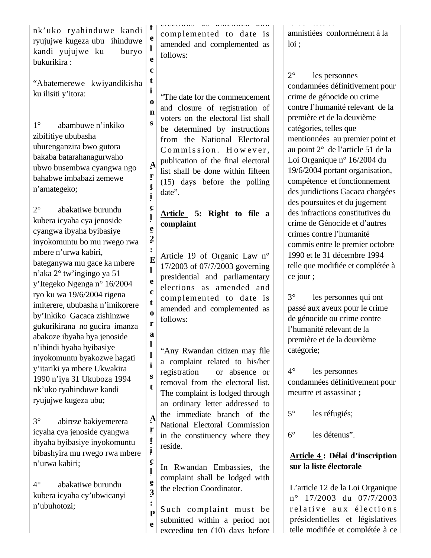nk'uko ryahinduwe kandi ryujujwe kugeza ubu ihinduwe kandi yujujwe ku buryo bukurikira :

"Abatemerewe kwiyandikisha ku ilisiti y'itora:

1° abambuwe n'inkiko zibifitiye ububasha uburenganzira bwo gutora bakaba batarahanagurwaho ubwo busembwa cyangwa ngo bahabwe imbabazi zemewe n'amategeko;

2° abakatiwe burundu kubera icyaha cya jenoside cyangwa ibyaha byibasiye inyokomuntu bo mu rwego rwa mbere n'urwa kabiri, bateganywa mu gace ka mbere n'aka 2° tw'ingingo ya 51 y'Itegeko Ngenga n° 16/2004 ryo ku wa 19/6/2004 rigena imiterere, ububasha n'imikorere by'Inkiko Gacaca zishinzwe gukurikirana no gucira imanza abakoze ibyaha bya jenoside n'ibindi byaha byibasiye inyokomuntu byakozwe hagati y'itariki ya mbere Ukwakira 1990 n'iya 31 Ukuboza 1994 nk'uko ryahinduwe kandi ryujujwe kugeza ubu;

3° abireze bakiyemerera icyaha cya jenoside cyangwa ibyaha byibasiye inyokomuntu bibashyira mu rwego rwa mbere n'urwa kabiri;

4° abakatiwe burundu kubera icyaha cy'ubwicanyi n'ubuhotozi;

elections as amended and complemented to date is amended and complemented as follows:

**f e l e c t i o n s**

**A r t i**

**l e 2 :** 

**l**

**t**

**a l l i s**

**t i c l e 3**

"The date for the commencement and closure of registration of voters on the electoral list shall be determined by instructions from the National Electoral Commission. However, publication of the final electoral list shall be done within fifteen (15) days before the polling date".

#### **c Article 5: Right to file a complaint**

**E e c o r** Article 19 of Organic Law n° 17/2003 of 07/7/2003 governing presidential and parliamentary elections as amended and complemented to date is amended and complemented as follows:

**t A r** "Any Rwandan citizen may file a complaint related to his/her registration or absence or removal from the electoral list. The complaint is lodged through an ordinary letter addressed to the immediate branch of the National Electoral Commission in the constituency where they reside.

In Rwandan Embassies, the complaint shall be lodged with the election Coordinator.

**: P e** Such complaint must be submitted within a period not exceeding ten (10) days before amnistiées conformément à la loi ;

2° les personnes condamnées définitivement pour crime de génocide ou crime contre l'humanité relevant de la première et de la deuxième catégories, telles que mentionnées au premier point et au point 2° de l'article 51 de la Loi Organique n° 16/2004 du 19/6/2004 portant organisation, compétence et fonctionnement des juridictions Gacaca chargées des poursuites et du jugement des infractions constitutives du crime de Génocide et d'autres crimes contre l'humanité commis entre le premier octobre 1990 et le 31 décembre 1994 telle que modifiée et complétée à ce jour ;

3° les personnes qui ont passé aux aveux pour le crime de génocide ou crime contre l'humanité relevant de la première et de la deuxième catégorie;

4° les personnes condamnées définitivement pour meurtre et assassinat **;**

5° les réfugiés;

6° les détenus".

## **Article 4 : Délai d'inscription sur la liste électorale**

L'article 12 de la Loi Organique n° 17/2003 du 07/7/2003 relative aux élections présidentielles et législatives telle modifiée et complétée à ce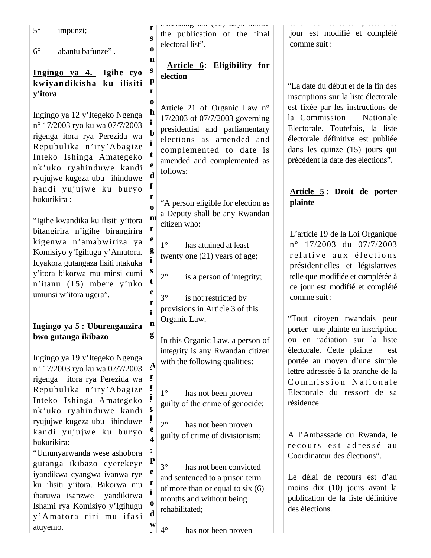| $5^\circ$<br>impunzi;                                                                                                                                                                                                                                         | r<br>S                                                                | eneeeung ien (20) unja aerare<br>the publication of the final                                                                                                                                             | jour est modifié et complété                                                                                                                                                                                          |
|---------------------------------------------------------------------------------------------------------------------------------------------------------------------------------------------------------------------------------------------------------------|-----------------------------------------------------------------------|-----------------------------------------------------------------------------------------------------------------------------------------------------------------------------------------------------------|-----------------------------------------------------------------------------------------------------------------------------------------------------------------------------------------------------------------------|
| $6^{\circ}$<br>abantu bafunze".                                                                                                                                                                                                                               | $\bf{0}$<br>n                                                         | electoral list".                                                                                                                                                                                          | comme suit :                                                                                                                                                                                                          |
| Ingingo ya 4. Igihe cyo<br>kwiyandikisha ku ilisiti<br>y'itora<br>Ingingo ya 12 y'Itegeko Ngenga<br>n° 17/2003 ryo ku wa 07/7/2003<br>rigenga itora rya Perezida wa                                                                                           | S<br>$\mathbf{p}$<br>r<br>$\bf{0}$<br>$\mathbf h$<br>i<br>$\mathbf b$ | Article 6: Eligibility for<br>election<br>Article 21 of Organic Law n°<br>17/2003 of 07/7/2003 governing<br>presidential and parliamentary<br>elections as amended and                                    | "La date du début et de la fin des<br>inscriptions sur la liste électorale<br>est fixée par les instructions de<br>la Commission<br>Nationale<br>Electorale. Toutefois, la liste<br>électorale définitive est publiée |
| Repubulika n'iry' Abagize<br>Inteko Ishinga Amategeko<br>nk'uko ryahinduwe kandi<br>ryujujwe kugeza ubu ihinduwe<br>handi yujujwe ku buryo                                                                                                                    | $\mathbf i$<br>t<br>e<br>$\mathbf d$<br>f                             | complemented to date is<br>amended and complemented as<br>follows:                                                                                                                                        | dans les quinze (15) jours qui<br>précèdent la date des élections".                                                                                                                                                   |
| bukurikira:                                                                                                                                                                                                                                                   | r<br>$\bf{0}$                                                         | "A person eligible for election as<br>a Deputy shall be any Rwandan                                                                                                                                       | Article 5: Droit de porter<br>plainte                                                                                                                                                                                 |
| "Igihe kwandika ku ilisiti y'itora<br>bitangirira n'igihe birangirira<br>kigenwa n'amabwiriza ya<br>Komisiyo y'Igihugu y'Amatora.<br>Icyakora gutangaza lisiti ntakuka<br>y'itora bikorwa mu minsi cumi<br>n'itanu (15) mbere y'uko<br>umunsi w'itora ugera". | m<br>r<br>e<br>g<br>$\mathbf{i}$<br>S<br>t<br>e<br>r<br>$\mathbf{i}$  | citizen who:<br>$1^{\circ}$<br>has attained at least<br>twenty one (21) years of age;<br>$2^{\circ}$<br>is a person of integrity;<br>$3^\circ$<br>is not restricted by<br>provisions in Article 3 of this | L'article 19 de la Loi Organique<br>n° 17/2003 du 07/7/2003<br>relative aux élections<br>présidentielles et législatives<br>telle que modifiée et complétée à<br>ce jour est modifié et complété<br>comme suit :      |
| Ingingo ya 5: Uburenganzira<br>bwo gutanga ikibazo                                                                                                                                                                                                            | $\mathbf n$<br>$\boldsymbol{g}$                                       | Organic Law.<br>In this Organic Law, a person of                                                                                                                                                          | "Tout citoyen rwandais peut<br>porter une plainte en inscription<br>ou en radiation sur la liste<br>électorale. Cette plainte<br>est                                                                                  |
| Ingingo ya 19 y'Itegeko Ngenga<br>n° 17/2003 ryo ku wa 07/7/2003<br>rigenga itora rya Perezida wa<br>Repubulika n'iry' Abagize<br>Inteko Ishinga Amategeko<br>nk'uko ryahinduwe kandi                                                                         | A<br>$\mathbf{r}$<br>$\mathbf{t}$<br>į<br>$\mathbf c$                 | integrity is any Rwandan citizen<br>with the following qualities:<br>$1^{\circ}$<br>has not been proven<br>guilty of the crime of genocide;                                                               | portée au moyen d'une simple<br>lettre adressée à la branche de la<br>Commission Nationale<br>Electorale du ressort de sa<br>résidence                                                                                |
| ryujujwe kugeza ubu ihinduwe<br>kandi yujujwe ku buryo<br>bukurikira:<br>"Umunyarwanda wese ashobora                                                                                                                                                          | ļ<br>$\mathbf e$<br>$\overline{\mathbf{4}}$<br>$\ddot{\cdot}$         | $2^{\circ}$<br>has not been proven<br>guilty of crime of divisionism;                                                                                                                                     | A l'Ambassade du Rwanda, le<br>recours est adressé au<br>Coordinateur des élections".                                                                                                                                 |
| gutanga ikibazo cyerekeye<br>iyandikwa cyangwa ivanwa rye<br>ku ilisiti y'itora. Bikorwa mu<br>ibaruwa isanzwe<br>yandikirwa<br>Ishami rya Komisiyo y'Igihugu<br>y'Amatora riri mu ifasi<br>atuyemo.                                                          | ${\bf P}$<br>e<br>r<br>$\mathbf{i}$<br>$\bf{0}$<br>$\mathbf d$<br>W   | $3^\circ$<br>has not been convicted<br>and sentenced to a prison term<br>of more than or equal to six $(6)$<br>months and without being<br>rehabilitated;<br>$4^{\circ}$<br>has not been proven           | Le délai de recours est d'au<br>moins dix (10) jours avant la<br>publication de la liste définitive<br>des élections.                                                                                                 |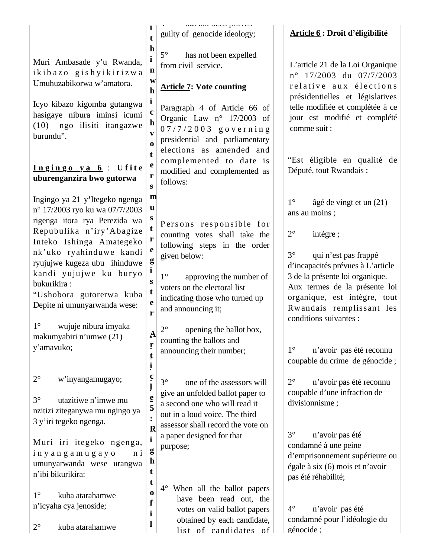|  |  | Muri Ambasade y'u Rwanda, |
|--|--|---------------------------|
|  |  | ikibazo gishyikirizwa     |
|  |  | Umuhuzabikorwa w'amatora. |

Icyo kibazo kigomba gutangwa hasigaye nibura iminsi icumi (10) ngo ilisiti itangazwe burundu".

## $\ln \sin \varphi$   $\theta$   $\vee$  **a**  $\theta$  : Ufite **uburenganzira bwo gutorwa**

Ingingo ya 21 y**'**Itegeko ngenga n° 17/2003 ryo ku wa 07/7/2003 rigenga itora rya Perezida wa Repubulika n'iry'A bagize Inteko Ishinga Amategeko nk'uko ryahinduwe kandi ryujujwe kugeza ubu ihinduwe kandi yujujwe ku buryo bukurikira :

"Ushobora gutorerwa kuba Depite ni umunyarwanda wese:

1° wujuje nibura imyaka makumyabiri n'umwe (21) y'amavuko;

2° w'inyangamugayo;

3° utazitiwe n'imwe mu nzitizi ziteganywa mu ngingo ya 3 y'iri tegeko ngenga.

M uri iri itegeko ngenga, i n y a n g a m u g a y o n i umunyarwanda wese urangwa n'ibi bikurikira:

1° kuba atarahamwe n'icyaha cya jenoside;

2° kuba atarahamwe

 $\frac{1}{4}$  has not been proven guilty of genocide ideology;

5° has not been expelled from civil service.

# **Article 7: Vote counting**

Paragraph 4 of Article 66 of Organic Law n° 17/2003 of  $07/7/2003$  governing presidential and parliamentary elections as amended and complemented to date is modified and complemented as follows:

**m u**

**s t r e g i s t e r**

**A r t i c l e 5 :** 

**i g h t t o f i l**

**i t h i n w h i c h v o t e r s** 

> Persons responsible for counting votes shall take the following steps in the order given below:

1° approving the number of voters on the electoral list indicating those who turned up and announcing it;

2° opening the ballot box, counting the ballots and announcing their number;

**R** 3° one of the assessors will give an unfolded ballot paper to a second one who will read it out in a loud voice. The third assessor shall record the vote on a paper designed for that purpose;

4° When all the ballot papers have been read out, the votes on valid ballot papers obtained by each candidate, list of candidates of

# **Article 6 : Droit d'éligibilité**

L'article 21 de la Loi Organique n° 17/2003 du 07/7/2003 r e lative aux élections présidentielles et législatives telle modifiée et complétée à ce jour est modifié et complété comme suit :

"Est éligible en qualité de Député, tout Rwandais :

1° âgé de vingt et un (21) ans au moins ;

2° intègre ;

3° qui n'est pas frappé d'incapacités prévues à L'article 3 de la présente loi organique. Aux termes de la présente loi organique, est intègre, tout Rwandais remplissant les conditions suivantes :

1° n'avoir pas été reconnu coupable du crime de génocide ;

2° n'avoir pas été reconnu coupable d'une infraction de divisionnisme ;

3° n'avoir pas été condamné à une peine d'emprisonnement supérieure ou égale à six (6) mois et n'avoir pas été réhabilité;

4° n'avoir pas été condamné pour l'idéologie du génocide ;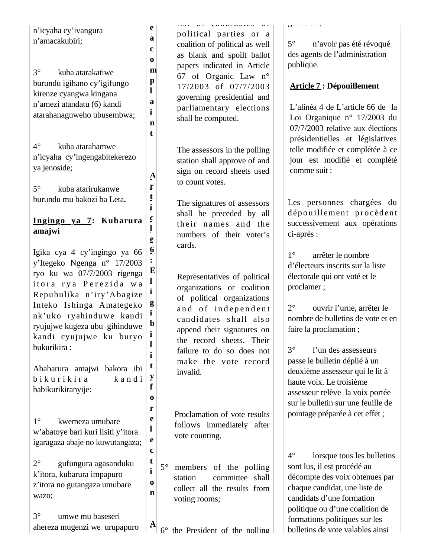| n'icyaha cy'ivangura<br>n'amacakubiri;                                                                                                                                                                                                                                                                                                  | e<br>a<br>c                                              |             | iive ul vanaiaianeou ul<br>political parties or a<br>coalition of political as well                                                                                                                                                                                          | $\sigma$<br>$5^{\circ}$<br>n'avoir pas été révoqué                                                                                                                                                                                                                                                                                                                  |
|-----------------------------------------------------------------------------------------------------------------------------------------------------------------------------------------------------------------------------------------------------------------------------------------------------------------------------------------|----------------------------------------------------------|-------------|------------------------------------------------------------------------------------------------------------------------------------------------------------------------------------------------------------------------------------------------------------------------------|---------------------------------------------------------------------------------------------------------------------------------------------------------------------------------------------------------------------------------------------------------------------------------------------------------------------------------------------------------------------|
| $3^\circ$<br>kuba atarakatiwe<br>burundu igihano cy'igifungo<br>kirenze cyangwa kingana<br>n'amezi atandatu (6) kandi<br>atarahanaguweho ubusembwa;                                                                                                                                                                                     | $\bf{0}$<br>m<br>$\mathbf{p}$<br>l<br>a<br>i<br>n        |             | as blank and spoilt ballot<br>papers indicated in Article<br>67 of Organic Law n°<br>17/2003 of 07/7/2003<br>governing presidential and<br>parliamentary elections<br>shall be computed.                                                                                     | des agents de l'administration<br>publique.<br><b>Article 7: Dépouillement</b><br>L'alinéa 4 de L'article 66 de la<br>Loi Organique n° 17/2003 du<br>07/7/2003 relative aux élections                                                                                                                                                                               |
| $4^\circ$<br>kuba atarahamwe<br>n'icyaha cy'ingengabitekerezo<br>ya jenoside;<br>$5^\circ$<br>kuba atarirukanwe                                                                                                                                                                                                                         | t<br>A<br>ŗ                                              |             | The assessors in the polling<br>station shall approve of and<br>sign on record sheets used<br>to count votes.                                                                                                                                                                | présidentielles et législatives<br>telle modifiée et complétée à ce<br>jour est modifié et complété<br>comme suit :                                                                                                                                                                                                                                                 |
| burundu mu bakozi ba Leta.<br>Ingingo ya 7: Kubarura<br>amajwi                                                                                                                                                                                                                                                                          | į<br>$\mathbf c$<br>ę                                    |             | The signatures of assessors<br>shall be preceded by all<br>their names and the<br>numbers of their voter's                                                                                                                                                                   | Les personnes chargées du<br>dépouillement procèdent<br>successivement aux opérations<br>ci-après :                                                                                                                                                                                                                                                                 |
| Igika cya 4 cy'ingingo ya 66<br>y'Itegeko Ngenga n° 17/2003<br>ryo ku wa 07/7/2003 rigenga<br>itora rya Perezida wa<br>Repubulika n'iry'Abagize<br>Inteko Ishinga Amategeko<br>nk'uko ryahinduwe kandi<br>ryujujwe kugeza ubu gihinduwe<br>kandi cyujujwe ku buryo<br>bukurikira:<br>Ababarura amajwi bakora ibi<br>bikurikira<br>kandi | $\boldsymbol{6}$<br>E<br>l<br>i<br>g<br>b<br>i<br>t<br>y |             | cards.<br>Representatives of political<br>organizations or coalition<br>of political organizations<br>and of independent<br>candidates shall also<br>append their signatures on<br>the record sheets. Their<br>failure to do so does not<br>make the vote record<br>invalid. | $1^{\circ}$<br>arrêter le nombre<br>d'électeurs inscrits sur la liste<br>électorale qui ont voté et le<br>proclamer;<br>$2^{\circ}$<br>ouvrir l'urne, arrêter le<br>nombre de bulletins de vote et en<br>faire la proclamation;<br>$3^\circ$<br>l'un des assesseurs<br>passe le bulletin déplié à un<br>deuxième assesseur qui le lit à<br>haute voix. Le troisième |
| babikurikiranyije:<br>$1^{\circ}$<br>kwemeza umubare<br>w'abatoye bari kuri lisiti y'itora<br>igaragaza abaje no kuwutangaza;                                                                                                                                                                                                           | f<br>0<br>r<br>e<br>l<br>e                               |             | Proclamation of vote results<br>follows immediately after<br>vote counting.                                                                                                                                                                                                  | assesseur relève la voix portée<br>sur le bulletin sur une feuille de<br>pointage préparée à cet effet ;                                                                                                                                                                                                                                                            |
| $2^{\circ}$<br>gufungura agasanduku<br>k'itora, kubarura impapuro<br>z'itora no gutangaza umubare<br>wazo;                                                                                                                                                                                                                              | c<br>t<br>$\mathbf{i}$<br>0<br>n                         | $5^{\circ}$ | members of the polling<br>station<br>committee shall<br>collect all the results from<br>voting rooms;                                                                                                                                                                        | $4^\circ$<br>lorsque tous les bulletins<br>sont lus, il est procédé au<br>décompte des voix obtenues par<br>chaque candidat, une liste de<br>candidats d'une formation<br>politique ou d'une coalition de                                                                                                                                                           |
| $3^\circ$<br>umwe mu baseseri<br>ahereza mugenzi we urupapuro                                                                                                                                                                                                                                                                           | $\mathbf{A}$                                             |             | the President of the nolling                                                                                                                                                                                                                                                 | formations politiques sur les<br>bulletins de vote valables ainsi                                                                                                                                                                                                                                                                                                   |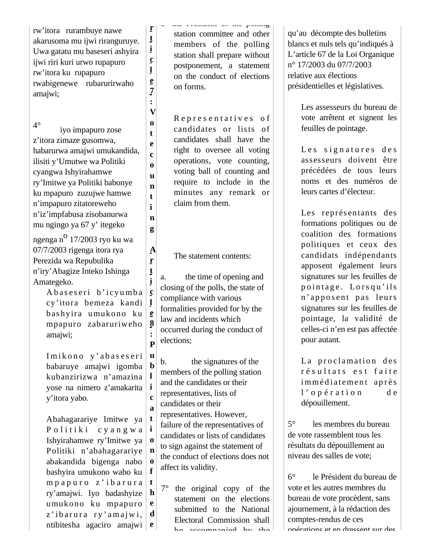rw'itora rurambuye nawe akarusoma mu ijwi riranguruye. Uwa gatatu mu baseseri ashyira ijwi riri kuri urwo rupapuro rw'itora ku rupapuro rwabigenewe rubarurirwaho amajwi;

**r t i c l e 7 : V o t e c o u n t i n g**

**A r t i c l e 8 : P**

**b l**

**c a**

**d**

4° iyo impapuro zose z'itora zimaze gusomwa, habarurwa amajwi umukandida, ilisiti y'Umutwe wa Politiki cyangwa Ishyirahamwe ry'Imitwe ya Politiki babonye ku mpapuro zuzujwe hamwe n'impapuro zitatoreweho n'iz'impfabusa zisobanurwa mu ngingo ya 67 y' itegeko

ngenga n<sup>o</sup> 17/2003 ryo ku wa 07/7/2003 rigenga itora rya Perezida wa Repubulika n'iry'Abagize Inteko Ishinga Amategeko.

> A baseseri b'icy umba cy'itora bemeza kandi bas hyira umukono ku mpapuro zabaruriw eho amajwi;

I mikono y'abaseseri babaruye amajwi igomba kubanzirizwa n'amazina yose na nimero z'amakarita **i** y'itora yabo.

Abahagarariye Imitwe ya Politiki cyangwa Ishyirahamwe ry'Imitwe ya Politiki n'abahagarariye abakandida bigenga nabo bashyira umukono wabo ku  $mp$  a puro z' i barura ry'amajwi. Iyo badashyize umukono ku mpapuro z' ib arura ry' amajwi, ntibitesha agaciro amajwi **e t i o n o f t h e** 

6 the President of the polling station committee and other members of the polling station shall prepare without postponement, a statement on the conduct of elections on forms.

Representatives of candidates or lists of candidates shall have the right to oversee all voting operations, vote counting, voting ball of counting and require to include in the minutes any remark or claim from them.

The statement contents:

a. the time of opening and closing of the polls, the state of compliance with various formalities provided for by the law and incidents which occurred during the conduct of elections;

**u** b. the signatures of the members of the polling station and the candidates or their representatives, lists of candidates or their representatives. However, failure of the representatives of candidates or lists of candidates to sign against the statement of the conduct of elections does not affect its validity.

7° the original copy of the statement on the elections submitted to the National Electoral Commission shall be accompanied by the qu'au décompte des bulletins blancs et nuls tels qu'indiqués à L'article 67 de la Loi Organique n° 17/2003 du 07/7/2003 relative aux élections présidentielles et législatives.

> Les assesseurs du bureau de vote arrêtent et signent les feuilles de pointage.

> Les signatures des assesseurs doivent être précédées de tous leurs noms et des numéros de leurs cartes d'électeur.

> Les représentants des formations politiques ou de coalition des formations politiques et ceux des candidats indépendants apposent également leurs signatures sur les feuilles de pointage. Lorsqu'ils n'apposent pas leurs signatures sur les feuilles de pointage, la validité de celles-ci n'en est pas affectée pour autant.

> La proclamation des résultats est faite im médiatement après  $l'$  o p é r a t i o n d e dépouillement.

5° les membres du bureau de vote rassemblent tous les résultats du dépouillement au niveau des salles de vote;

6° le Président du bureau de vote et les autres membres du bureau de vote procèdent, sans ajournement, à la rédaction des comptes-rendus de ces opérations et en dressent sur des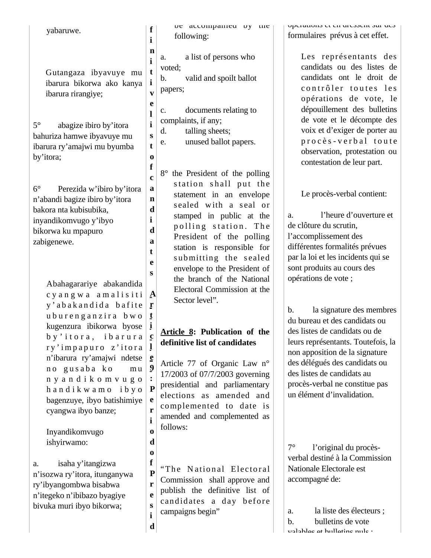Gutangaza ibyavuye mu ibarura bikorwa ako kanya ibarura rirangiye;

**f i n i t i v e l i s t o f c a n d i d a t e s**

**r**

**l e 9 : P e r i o d o**

**d**

5° abagize ibiro by'itora bahuriza hamwe ibyavuye mu ibarura ry'amajwi mu byumba by'itora;

6° Perezida w'ibiro by'itora n'abandi bagize ibiro by'itora bakora nta kubisubika, inyandikomvugo y'ibyo bikorwa ku mpapuro zabigenewe.

> Abahagarariye abakandida c y a n g w a a m a l i s i t i y'abakandida bafite u b u r e n g a n z i r a b w o kugenzura ibikorwa byose b y ' i t o r a , i b a r u r a ry'impapuro z'itora n'ibarura ry'amajwi ndetse no gusaba ko mu n y a n d i k o m v u g o h a n d i k w a m o i b y o bagenzuye, ibyo batishimiye cyangwa ibyo banze; **t i c**

Inyandikomvugo ishyirwamo:

a. isaha y'itangizwa n'isozwa ry'itora, itunganywa ry'ibyangombwa bisabwa n'itegeko n'ibibazo byagiye bivuka muri ibyo bikorwa;

**A** be accompanied by the following: a. a list of persons who voted; b. valid and spoilt ballot papers; c. documents relating to complaints, if any; d. talling sheets; e. unused ballot papers. 8° the President of the polling station shall put the statement in an envelope sealed with a seal or stamped in public at the polling station. The President of the polling station is responsible for submitting the sealed envelope to the President of the branch of the National Electoral Commission at the Sector level". **Article 8: Publication of the definitive list of candidates**

Article 77 of Organic Law n° 17/2003 of 07/7/2003 governing presidential and parliamentary elections as amended and complemented to date is amended and complemented as follows:

**f P r e s i** "The National Electoral Commission shall approve and publish the definitive list of candidates a day before campaigns begin"

opérations et en dressent sur des formulaires prévus à cet effet.

> Les représentants des candidats ou des listes de candidats ont le droit de contrôler toutes les opérations de vote, le dépouillement des bulletins de vote et le décompte des voix et d'exiger de porter au procès-verbal toute observation, protestation ou contestation de leur part.

Le procès-verbal contient:

a. l'heure d'ouverture et de clôture du scrutin, l'accomplissement des différentes formalités prévues par la loi et les incidents qui se sont produits au cours des opérations de vote ;

b. la signature des membres du bureau et des candidats ou des listes de candidats ou de leurs représentants. Toutefois, la non apposition de la signature des délégués des candidats ou des listes de candidats au procès-verbal ne constitue pas un élément d'invalidation.

7° l'original du procèsverbal destiné à la Commission Nationale Electorale est accompagné de:

a. la liste des électeurs ; b. bulletins de vote valables et bulletins nuls ;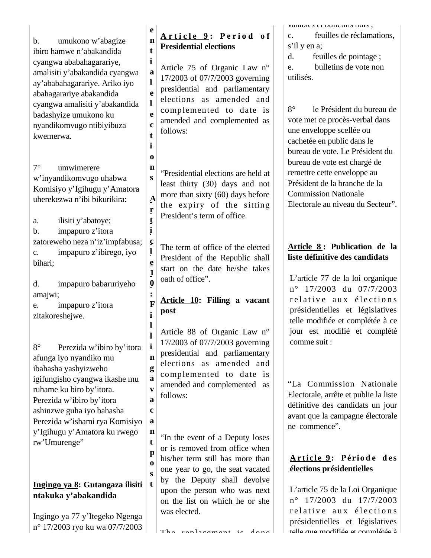b. umukono w'abagize ibiro hamwe n'abakandida cyangwa ababahagarariye, amalisiti y'abakandida cyangwa ay'ababahagarariye. Ariko iyo abahagarariye abakandida cyangwa amalisiti y'abakandida badashyize umukono ku nyandikomvugo ntibiyibuza kwemerwa.

7° umwimerere w'inyandikomvugo uhabwa Komisiyo y'Igihugu y'Amatora uherekezwa n'ibi bikurikira:

a. ilisiti y'abatoye; b. impapuro z'itora zatoreweho neza n'iz'impfabusa; c. impapuro z'ibirego, iyo bihari;

d. impapuro babaruriyeho amajwi;

e. impapuro z'itora zitakoreshejwe.

8° Perezida w'ibiro by'itora afunga iyo nyandiko mu ibahasha yashyizweho igifungisho cyangwa ikashe mu ruhame ku biro by'itora. Perezida w'ibiro by'itora ashinzwe guha iyo bahasha Perezida w'ishami rya Komisiyo y'Igihugu y'Amatora ku rwego rw'Umurenge"

# **Ingingo ya 8: Gutangaza ilisiti ntakuka y'abakandida**

Ingingo ya 77 y'Itegeko Ngenga n° 17/2003 ryo ku wa 07/7/2003

#### **e n t A r t i c l e 9 : P e r i o d o f Presidential elections**

**i a e l e c t** Article 75 of Organic Law n° 17/2003 of 07/7/2003 governing presidential and parliamentary elections as amended and complemented to date is amended and complemented as follows:

**i o**

**s**

**A r t i c l e 1 0 : F i l l i n g a v a c a n t p o s t**

**l** 

**n** "Presidential elections are held at least thirty (30) days and not more than sixty (60) days before the expiry of the sitting President's term of office.

The term of office of the elected President of the Republic shall start on the date he/she takes oath of office".

## **Article 10: Filling a vacant post**

Article 88 of Organic Law n° 17/2003 of 07/7/2003 governing presidential and parliamentary elections as amended and complemented to date is amended and complemented as follows:

"In the event of a Deputy loses or is removed from office when his/her term still has more than one year to go, the seat vacated by the Deputy shall devolve upon the person who was next on the list on which he or she was elected.

valables et bulletins nuls,

c. feuilles de réclamations, s'il y en a;

d. feuilles de pointage ; e. bulletins de vote non utilisés.

8° le Président du bureau de vote met ce procès-verbal dans une enveloppe scellée ou cachetée en public dans le bureau de vote. Le Président du bureau de vote est chargé de remettre cette enveloppe au Président de la branche de la Commission Nationale Electorale au niveau du Secteur".

# **Article 8 : Publication de la liste définitive des candidats**

L'article 77 de la loi organique n° 17/2003 du 07/7/2003 relative aux élections présidentielles et législatives telle modifiée et complétée à ce jour est modifié et complété comme suit :

"La Commission Nationale Electorale, arrête et publie la liste définitive des candidats un jour avant que la campagne électorale ne commence".

# **A r ti c l e 9 : Pério d e d es élections présidentielles**

L'article 75 de la Loi Organique n° 17/2003 du 17/7/2003 relative aux élections présidentielles et législatives telle que modifiée et complétée à

The replacement is done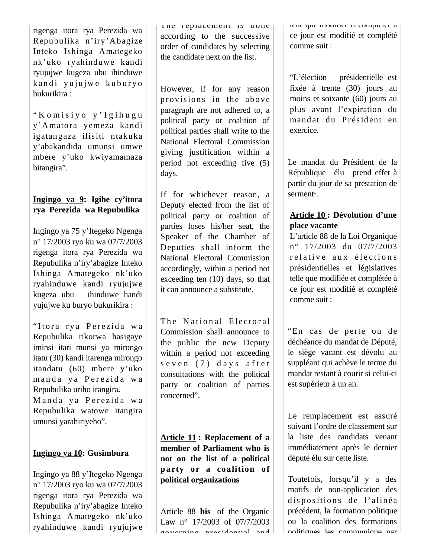rigenga itora rya Perezida wa Repubulika n'iry'A bagize Inteko Ishinga Amategeko nk'uko ryahinduwe kandi ryujujwe kugeza ubu ihinduwe kandi yujujwe kuburyo bukurikira :

" K o m i s i y o y ' I g i h u g u y'A matora yemeza kandi igatangaza ilisiti ntakuka y'abakandida umunsi umwe mbere y'uko kwiyamamaza bitangira".

## **Ingingo ya 9: Igihe cy'itora rya Perezida wa Repubulika**

Ingingo ya 75 y'Itegeko Ngenga n° 17/2003 ryo ku wa 07/7/2003 rigenga itora rya Perezida wa Repubulika n'iry'abagize Inteko Ishinga Amategeko nk'uko ryahinduwe kandi ryujujwe kugeza ubu ihinduwe handi yujujwe ku buryo bukurikira :

"Itora rya Perezida wa Repubulika rikorwa hasigaye iminsi itari munsi ya mirongo itatu (30) kandi itarenga mirongo itandatu (60) mbere y'uko manda ya Perezida wa Repubulika uriho irangira**.** Manda ya Perezida wa Repubulika watowe itangira

umunsi yarahiriyeho".

## **Ingingo ya 10: Gusimbura**

Ingingo ya 88 y'Itegeko Ngenga n° 17/2003 ryo ku wa 07/7/2003 rigenga itora rya Perezida wa Repubulika n'iry'abagize Inteko Ishinga Amategeko nk'uko ryahinduwe kandi ryujujwe The replacement is done according to the successive order of candidates by selecting the candidate next on the list.

However, if for any reason provisions in the above paragraph are not adhered to, a political party or coalition of political parties shall write to the National Electoral Commission giving justification within a period not exceeding five (5) days.

If for whichever reason, a Deputy elected from the list of political party or coalition of parties loses his/her seat, the Speaker of the Chamber of Deputies shall inform the National Electoral Commission accordingly, within a period not exceeding ten (10) days, so that it can announce a substitute.

The National Electoral Commission shall announce to the public the new Deputy within a period not exceeding s e v e n (7) d a y s a f t e r consultations with the political party or coalition of parties concerned".

**Article 11 : Replacement of a member of Parliament who is not on the list of a political p arty or a coalition of political organizations**

Article 88 **bis** of the Organic Law n° 17/2003 of 07/7/2003 governing presidential and telle que modifiée et complètée à ce jour est modifié et complété comme suit :

"L'élection présidentielle est fixée à trente (30) jours au moins et soixante (60) jours au plus avant l'expiration du mandat du Président en exercice.

Le mandat du Président de la République élu prend effet à partir du jour de sa prestation de serment".

## **Article 10 : Dévolution d'une place vacante**

L'article 88 de la Loi Organique n° 17/2003 du 07/7/2003 relative aux élections présidentielles et législatives telle que modifiée et complétée à ce jour est modifié et complété comme suit :

"En cas de perte ou de déchéance du mandat de Député, le siège vacant est dévolu au suppléant qui achève le terme du mandat restant à courir si celui-ci est supérieur à un an.

Le remplacement est assuré suivant l'ordre de classement sur la liste des candidats venant immédiatement après le dernier député élu sur cette liste.

Toutefois, lorsqu'il y a des motifs de non-application des dispositions de l'alinéa précédent, la formation politique ou la coalition des formations politiques les communique par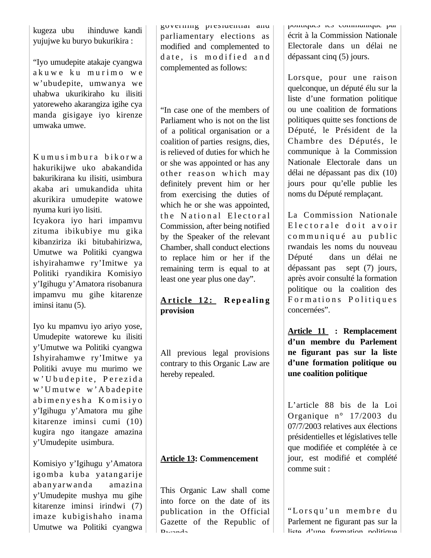kugeza ubu ihinduwe kandi yujujwe ku buryo bukurikira :

"Iyo umudepite atakaje cyangwa akuwe ku murimo we w'ubudepite, umwanya we uhabwa ukurikiraho ku ilisiti yatoreweho akarangiza igihe cya manda gisigaye iyo kirenze umwaka umwe.

Kumusimbura bikorwa hakurikijwe uko abakandida bakurikirana ku ilisiti, usimbura akaba ari umukandida uhita akurikira umudepite watowe nyuma kuri iyo lisiti.

Icyakora iyo hari impamvu zituma ibikubiye mu gika kibanziriza iki bitubahirizwa, Umutwe wa Politiki cyangwa ishyirahamwe ry'Imitwe ya Politiki ryandikira Komisiyo y'Igihugu y'Amatora risobanura impamvu mu gihe kitarenze iminsi itanu (5).

Iyo ku mpamvu iyo ariyo yose, Umudepite watorewe ku ilisiti y'Umutwe wa Politiki cyangwa Ishyirahamwe ry'Imitwe ya Politiki avuye mu murimo we w' U bu d e pite, Perezida w' U mutwe w' A badepite abimenyesha Komisiyo y'Igihugu y'Amatora mu gihe kitarenze iminsi cumi (10) kugira ngo itangaze amazina y'Umudepite usimbura.

Komisiyo y'Igihugu y'Amatora igomba kuba yatangarije abanyarw anda amazina y'Umudepite mushya mu gihe kitarenze iminsi irindwi (7) imaze kubigishaho inama Umutwe wa Politiki cyangwa

governing presidential and parliamentary elections as modified and complemented to date, is modified and complemented as follows:

"In case one of the members of Parliament who is not on the list of a political organisation or a coalition of parties resigns, dies, is relieved of duties for which he or she was appointed or has any other reason which may definitely prevent him or her from exercising the duties of which he or she was appointed, the National Electoral Commission, after being notified by the Speaker of the relevant Chamber, shall conduct elections to replace him or her if the remaining term is equal to at least one year plus one day".

## **A r ti c l e 1 2 : R ep ea lin g provision**

All previous legal provisions contrary to this Organic Law are hereby repealed.

## **Article 13: Commencement**

This Organic Law shall come into force on the date of its publication in the Official Gazette of the Republic of Rwanda

politiques les communique par écrit à la Commission Nationale Electorale dans un délai ne dépassant cinq (5) jours.

Lorsque, pour une raison quelconque, un député élu sur la liste d'une formation politique ou une coalition de formations politiques quitte ses fonctions de Député, le Président de la Chambre des Députés, le communique à la Commission Nationale Electorale dans un délai ne dépassant pas dix (10) jours pour qu'elle publie les noms du Député remplaçant.

La Commission Nationale E lectorale doit avoir communiqué au public rwandais les noms du nouveau Député dans un délai ne dépassant pas sept (7) jours, après avoir consulté la formation politique ou la coalition des Formations Politiques concernées".

**Article 11 : Remplacement d'un membre du Parlement ne figurant pas sur la liste d'une formation politique ou une coalition politique** 

L'article 88 bis de la Loi Organique n° 17/2003 du 07/7/2003 relatives aux élections présidentielles et législatives telle que modifiée et complétée à ce jour, est modifié et complété comme suit :

"Lorsqu'un membre du Parlement ne figurant pas sur la liste d'une formation politique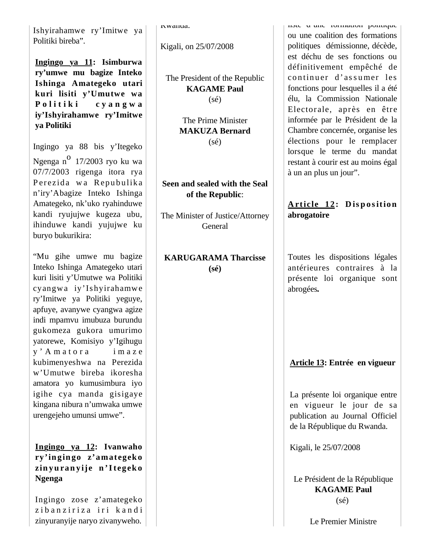Ishyirahamwe ry'Imitwe ya Politiki bireba".

**Ingingo ya 11: Isimburwa ry'umwe mu bagize Inteko Ishinga Amategeko utari kuri lisiti y'Umutwe wa P o l i t i k i c y a n g w a iy'Ishyirahamwe ry'Imitwe ya Politiki** 

Ingingo ya 88 bis y'Itegeko Ngenga n $^{\circ}$  17/2003 ryo ku wa 07/7/2003 rigenga itora rya Perezida wa Repubulika n'iry'Abagize Inteko Ishinga Amategeko, nk'uko ryahinduwe kandi ryujujwe kugeza ubu, ihinduwe kandi yujujwe ku buryo bukurikira:

"Mu gihe umwe mu bagize Inteko Ishinga Amategeko utari kuri lisiti y'Umutwe wa Politiki cyangw a iy'Is hyirahamw e ry'Imitwe ya Politiki yeguye, apfuye, avanywe cyangwa agize indi mpamvu imubuza burundu gukomeza gukora umurimo yatorewe, Komisiyo y'Igihugu y' A m a t o r a i m a z e kubimenyeshwa na Perezida w'Umutwe bireba ikoresha amatora yo kumusimbura iyo igihe cya manda gisigaye kingana nibura n'umwaka umwe urengejeho umunsi umwe".

**Ingingo ya 12: Ivanwaho ry'in gin go z'amategek o zin y u ra n y ij e n ' I t eg ek o Ngenga** 

Ingingo zose z'amategeko zibanziriza iri kandi zinyuranyije naryo zivanyweho.

Rwanda.

Kigali, on 25/07/2008

The President of the Republic **KAGAME Paul** (sé)

> The Prime Minister **MAKUZA Bernard** (sé)

## **Seen and sealed with the Seal of the Republic**:

The Minister of Justice/Attorney General

## **KARUGARAMA Tharcisse (sé)**

liste d une formation politique ou une coalition des formations politiques démissionne, décède, est déchu de ses fonctions ou définitivement empêché de continuer d'assumer les fonctions pour lesquelles il a été élu, la Commission Nationale Electorale, après en être informée par le Président de la Chambre concernée, organise les élections pour le remplacer lorsque le terme du mandat restant à courir est au moins égal à un an plus un jour".

# **A rticle 1 2 : D is p o s it io n abrogatoire**

Toutes les dispositions légales antérieures contraires à la présente loi organique sont abrogées*.* 

**Article 13: Entrée en vigueur** 

La présente loi organique entre en vigueur le jour de sa publication au Journal Officiel de la République du Rwanda.

Kigali, le 25/07/2008

Le Président de la République **KAGAME Paul** (sé)

Le Premier Ministre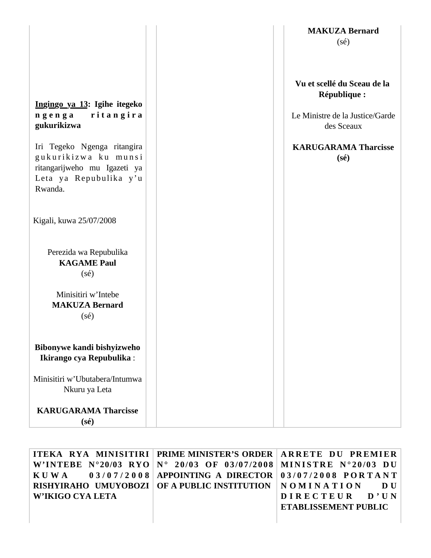|                                                                                                                                                                                     | <b>MAKUZA Bernard</b><br>$(s\acute{e})$                                                                                                       |
|-------------------------------------------------------------------------------------------------------------------------------------------------------------------------------------|-----------------------------------------------------------------------------------------------------------------------------------------------|
| Ingingo ya 13: Igihe itegeko<br>ritangira<br>ngenga<br>gukurikizwa<br>Iri Tegeko Ngenga ritangira<br>gukurikizwa ku munsi<br>ritangarijweho mu Igazeti ya<br>Leta ya Repubulika y'u | Vu et scellé du Sceau de la<br>République :<br>Le Ministre de la Justice/Garde<br>des Sceaux<br><b>KARUGARAMA Tharcisse</b><br>$(s\acute{e})$ |
| Rwanda.<br>Kigali, kuwa 25/07/2008                                                                                                                                                  |                                                                                                                                               |
| Perezida wa Repubulika<br><b>KAGAME Paul</b><br>$(s\acute{e})$                                                                                                                      |                                                                                                                                               |
| Minisitiri w'Intebe<br><b>MAKUZA Bernard</b><br>$(s\acute{e})$                                                                                                                      |                                                                                                                                               |
| Bibonywe kandi bishyizweho<br>Ikirango cya Repubulika:                                                                                                                              |                                                                                                                                               |
| Minisitiri w'Ubutabera/Intumwa<br>Nkuru ya Leta                                                                                                                                     |                                                                                                                                               |
| <b>KARUGARAMA Tharcisse</b><br>$(s\acute{e})$                                                                                                                                       |                                                                                                                                               |

|                  | ITEKA RYA MINISITIRI   PRIME MINISTER'S ORDER   ARRETE DU PREMIER        |                             |
|------------------|--------------------------------------------------------------------------|-----------------------------|
|                  | W'INTEBE N°20/03 RYO $N^{\circ}$ 20/03 OF 03/07/2008 MINISTRE N°20/03 DU |                             |
|                  | KUWA 03/07/2008 APPOINTING A DIRECTOR 03/07/2008 PORTANT                 |                             |
|                  | RISHYIRAHO UMUYOBOZI   OF A PUBLIC INSTITUTION   N O M I N A T I O N D U |                             |
| W'IKIGO CYA LETA |                                                                          | DIRECTEUR D'UN              |
|                  |                                                                          | <b>ETABLISSEMENT PUBLIC</b> |
|                  |                                                                          |                             |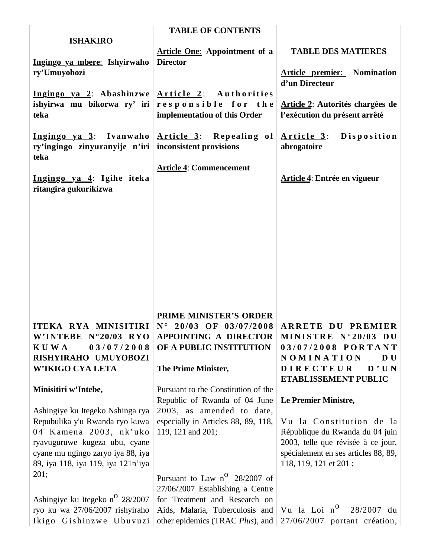| <b>ISHAKIRO</b>                                                                                                                                                                                                                  | <b>TABLE OF CONTENTS</b>                                                                                                                                                           |                                                                                                                                                                                            |
|----------------------------------------------------------------------------------------------------------------------------------------------------------------------------------------------------------------------------------|------------------------------------------------------------------------------------------------------------------------------------------------------------------------------------|--------------------------------------------------------------------------------------------------------------------------------------------------------------------------------------------|
| Ingingo ya mbere: Ishyirwaho<br>ry'Umuyobozi                                                                                                                                                                                     | <b>Article One:</b> Appointment of a<br><b>Director</b>                                                                                                                            | <b>TABLE DES MATIERES</b><br><b>Article premier:</b> Nomination                                                                                                                            |
| Ingingo ya 2: Abashinzwe $\text{Article 2:}$ Authorities<br>ishyirwa mu bikorwa ry' iri<br>teka                                                                                                                                  | responsible for the<br>implementation of this Order                                                                                                                                | d'un Directeur<br>Article 2: Autorités chargées de<br>l'exécution du présent arrêté                                                                                                        |
| Ingingo ya 3: Ivanwaho<br>ry'ingingo zinyuranyije n'iri<br>teka                                                                                                                                                                  | Article 3: Repealing of<br>inconsistent provisions                                                                                                                                 | Article 3: Disposition<br>abrogatoire                                                                                                                                                      |
| Ingingo ya 4: Igihe iteka<br>ritangira gukurikizwa                                                                                                                                                                               | <b>Article 4: Commencement</b>                                                                                                                                                     | Article 4: Entrée en vigueur                                                                                                                                                               |
|                                                                                                                                                                                                                                  |                                                                                                                                                                                    |                                                                                                                                                                                            |
| ITEKA RYA MINISITIRI<br>W'INTEBE N°20/03 RYO<br><b>KUWA</b><br>03/07/2008<br>RISHYIRAHO UMUYOBOZI<br>W'IKIGO CYA LETA                                                                                                            | <b>PRIME MINISTER'S ORDER</b><br>$N^{\circ}$ 20/03 OF 03/07/2008<br><b>APPOINTING A DIRECTOR</b><br>OF A PUBLIC INSTITUTION<br>The Prime Minister,                                 | <b>ARRETE DU PREMIER</b><br>MINISTRE N°20/03 DU<br>03/07/2008 PORTANT<br>NOMINATION<br>D U<br><b>DIRECTEUR</b><br>D'UN<br>ETABLISSEMENT PUBLIC                                             |
| Minisitiri w'Intebe,<br>Ashingiye ku Itegeko Nshinga rya<br>Repubulika y'u Rwanda ryo kuwa<br>04 Kamena 2003, nk'uko<br>ryavuguruwe kugeza ubu, cyane<br>cyane mu ngingo zaryo iya 88, iya<br>89, iya 118, iya 119, iya 121n'iya | Pursuant to the Constitution of the<br>Republic of Rwanda of 04 June<br>2003, as amended to date,<br>especially in Articles 88, 89, 118,<br>119, 121 and 201;                      | Le Premier Ministre,<br>Vu la Constitution de la<br>République du Rwanda du 04 juin<br>2003, telle que révisée à ce jour,<br>spécialement en ses articles 88, 89,<br>118, 119, 121 et 201; |
| 201;<br>Ashingiye ku Itegeko n <sup>o</sup> 28/2007<br>ryo ku wa 27/06/2007 rishyiraho<br>Ikigo Gishinzwe Ubuvuzi                                                                                                                | Pursuant to Law $n^{\circ}$ 28/2007 of<br>27/06/2007 Establishing a Centre<br>for Treatment and Research on<br>Aids, Malaria, Tuberculosis and<br>other epidemics (TRAC Plus), and | Vu la Loi n <sup>o</sup><br>28/2007 du<br>27/06/2007 portant création,                                                                                                                     |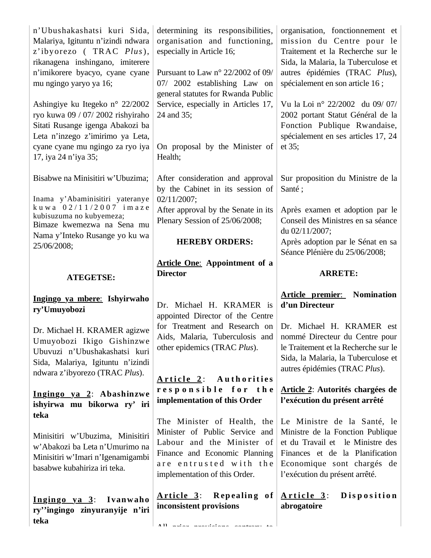| n'Ubushakashatsi kuri Sida,<br>Malariya, Igituntu n'izindi ndwara<br>z'ibyorezo (TRAC Plus),<br>rikanagena inshingano, imiterere<br>n'imikorere byacyo, cyane cyane<br>mu ngingo yaryo ya 16;<br>Ashingiye ku Itegeko n° 22/2002<br>ryo kuwa 09 / 07/ 2002 rishyiraho<br>Sitati Rusange igenga Abakozi ba<br>Leta n'inzego z'imirimo ya Leta,<br>cyane cyane mu ngingo za ryo iya<br>17, iya 24 n'iya 35; | determining its responsibilities,<br>organisation and functioning,<br>especially in Article 16;<br>Pursuant to Law $n^{\circ}$ 22/2002 of 09/<br>07/ 2002 establishing Law on<br>general statutes for Rwanda Public<br>Service, especially in Articles 17,<br>24 and 35;<br>On proposal by the Minister of<br>Health; | organisation, fonctionnement et<br>mission du Centre pour le<br>Traitement et la Recherche sur le<br>Sida, la Malaria, la Tuberculose et<br>autres épidémies (TRAC Plus),<br>spécialement en son article 16;<br>Vu la Loi nº 22/2002 du 09/07/<br>2002 portant Statut Général de la<br>Fonction Publique Rwandaise,<br>spécialement en ses articles 17, 24<br>et 35; |
|-----------------------------------------------------------------------------------------------------------------------------------------------------------------------------------------------------------------------------------------------------------------------------------------------------------------------------------------------------------------------------------------------------------|-----------------------------------------------------------------------------------------------------------------------------------------------------------------------------------------------------------------------------------------------------------------------------------------------------------------------|----------------------------------------------------------------------------------------------------------------------------------------------------------------------------------------------------------------------------------------------------------------------------------------------------------------------------------------------------------------------|
| Bisabwe na Minisitiri w'Ubuzima;<br>Inama y'Abaminisitiri yateranye<br>kuwa 02/11/2007 imaze<br>kubisuzuma no kubyemeza;<br>Bimaze kwemezwa na Sena mu<br>Nama y'Inteko Rusange yo ku wa<br>25/06/2008;                                                                                                                                                                                                   | After consideration and approval<br>by the Cabinet in its session of<br>02/11/2007;<br>After approval by the Senate in its<br>Plenary Session of 25/06/2008;<br><b>HEREBY ORDERS:</b>                                                                                                                                 | Sur proposition du Ministre de la<br>Santé;<br>Après examen et adoption par le<br>Conseil des Ministres en sa séance<br>du 02/11/2007;<br>Après adoption par le Sénat en sa<br>Séance Plénière du 25/06/2008;                                                                                                                                                        |
| <b>ATEGETSE:</b>                                                                                                                                                                                                                                                                                                                                                                                          | <b>Article One:</b> Appointment of a<br><b>Director</b>                                                                                                                                                                                                                                                               | <b>ARRETE:</b>                                                                                                                                                                                                                                                                                                                                                       |
|                                                                                                                                                                                                                                                                                                                                                                                                           |                                                                                                                                                                                                                                                                                                                       |                                                                                                                                                                                                                                                                                                                                                                      |
| Ingingo ya mbere: Ishyirwaho<br>ry'Umuyobozi                                                                                                                                                                                                                                                                                                                                                              | Dr. Michael H. KRAMER is<br>appointed Director of the Centre                                                                                                                                                                                                                                                          | <b>Article premier:</b> Nomination<br>d'un Directeur                                                                                                                                                                                                                                                                                                                 |
| Dr. Michael H. KRAMER agizwe<br>Umuyobozi Ikigo Gishinzwe<br>Ubuvuzi n'Ubushakashatsi kuri<br>Sida, Malariya, Igituntu n'izindi                                                                                                                                                                                                                                                                           | other epidemics (TRAC Plus).                                                                                                                                                                                                                                                                                          | for Treatment and Research on Dr. Michael H. KRAMER est<br>Aids, Malaria, Tuberculosis and   nommé Directeur du Centre pour<br>le Traitement et la Recherche sur le<br>Sida, la Malaria, la Tuberculose et<br>autres épidémies (TRAC Plus).                                                                                                                          |
| ndwara z'ibyorezo (TRAC Plus).<br>Ingingo ya 2: Abashinzwe<br>ishyirwa mu bikorwa ry' iri                                                                                                                                                                                                                                                                                                                 | Article 2: Authorities<br>responsible for the<br>implementation of this Order                                                                                                                                                                                                                                         | Article 2: Autorités chargées de<br>l'exécution du présent arrêté                                                                                                                                                                                                                                                                                                    |
| teka<br>Minisitiri w'Ubuzima, Minisitiri<br>w'Abakozi ba Leta n'Umurimo na<br>Minisitiri w'Imari n'Igenamigambi<br>basabwe kubahiriza iri teka.                                                                                                                                                                                                                                                           | The Minister of Health, the<br>Minister of Public Service and<br>Labour and the Minister of<br>Finance and Economic Planning<br>are entrusted with the<br>implementation of this Order.                                                                                                                               | Le Ministre de la Santé, le<br>Ministre de la Fonction Publique<br>et du Travail et le Ministre des<br>Finances et de la Planification<br>Economique sont chargés de<br>l'exécution du présent arrêté.                                                                                                                                                               |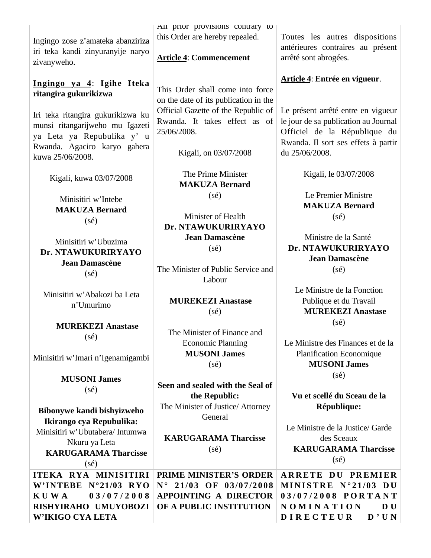Ingingo zose z'amateka abanziriza iri teka kandi zinyuranyije naryo zivanyweho.

**Ingingo ya 4**: **Igihe Iteka ritangira gukurikizwa**

Iri teka ritangira gukurikizwa ku munsi ritangarijweho mu Igazeti ya Leta ya Repubulika y' u Rwanda. Agaciro karyo gahera kuwa 25/06/2008.

Kigali, kuwa 03/07/2008

Minisitiri w'Intebe **MAKUZA Bernard** (sé)

Minisitiri w'Ubuzima **Dr. NTAWUKURIRYAYO Jean Damascène**  (sé)

Minisitiri w'Abakozi ba Leta n'Umurimo

> **MUREKEZI Anastase** (sé)

Minisitiri w'Imari n'Igenamigambi

**MUSONI James** (sé)

**Bibonywe kandi bishyizweho Ikirango cya Repubulika:** Minisitiri w'Ubutabera/ Intumwa Nkuru ya Leta **KARUGARAMA Tharcisse** (sé)

**ITEKA RYA MINISITIRI W'INTEBE N°21/03 RYO K U W A 0 3 / 0 7 / 2 0 0 8 RISHYIRAHO UMUYOBOZI W'IKIGO CYA LETA**

All prior provisions contrary to this Order are hereby repealed.

## **Article 4**: **Commencement**

This Order shall come into force on the date of its publication in the Official Gazette of the Republic of Rwanda. It takes effect as of 25/06/2008.

Kigali, on 03/07/2008

The Prime Minister **MAKUZA Bernard** (sé)

Minister of Health **Dr. NTAWUKURIRYAYO Jean Damascène**  (sé)

The Minister of Public Service and Labour

**MUREKEZI Anastase** (sé)

The Minister of Finance and Economic Planning **MUSONI James**  $(s\acute{e})$ 

**Seen and sealed with the Seal of the Republic:** The Minister of Justice/ Attorney General

**KARUGARAMA Tharcisse** (sé)

**PRIME MINISTER'S ORDER N ° 2 1 /0 3 OF 0 3 /0 7 /2 0 0 8 APPOINTING A DIRECTOR OF A PUBLIC INSTITUTION** 

Toutes les autres dispositions antérieures contraires au présent arrêté sont abrogées.

**Article 4**: **Entrée en vigueur**.

Le présent arrêté entre en vigueur le jour de sa publication au Journal Officiel de la République du Rwanda. Il sort ses effets à partir du 25/06/2008.

Kigali, le 03/07/2008

Le Premier Ministre **MAKUZA Bernard**  $(s\acute{e})$ 

Ministre de la Santé **Dr. NTAWUKURIRYAYO Jean Damascène**   $(s\acute{e})$ 

Le Ministre de la Fonction Publique et du Travail **MUREKEZI Anastase** (sé)

Le Ministre des Finances et de la Planification Economique **MUSONI James**  $(s\acute{e})$ 

**Vu et scellé du Sceau de la République:**

Le Ministre de la Justice/ Garde des Sceaux **KARUGARAMA Tharcisse**  $(s\acute{e})$ 

**ARRETE DU PREMIER MINISTRE N°21/03 DU 0 3 / 0 7 / 2 0 0 8 P O R T A N T N O M I N A T I O N D U D I R E C T E U R D ' U N**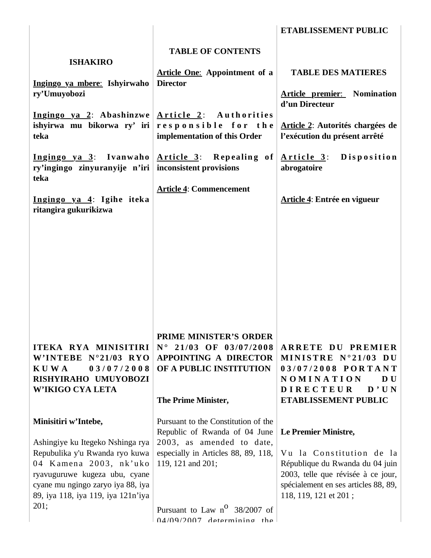|                                                                                                                                                                      |                                                                                                                                                    | ETABLISSEMENT PUBLIC                                                                                                                                               |
|----------------------------------------------------------------------------------------------------------------------------------------------------------------------|----------------------------------------------------------------------------------------------------------------------------------------------------|--------------------------------------------------------------------------------------------------------------------------------------------------------------------|
| <b>ISHAKIRO</b><br>Ingingo ya mbere: Ishyirwaho                                                                                                                      | <b>TABLE OF CONTENTS</b><br><b>Article One:</b> Appointment of a<br><b>Director</b>                                                                | <b>TABLE DES MATIERES</b>                                                                                                                                          |
| ry'Umuyobozi                                                                                                                                                         |                                                                                                                                                    | <b>Article premier:</b> Nomination<br>d'un Directeur                                                                                                               |
| Ingingo ya 2: Abashinzwe $\text{Article 2:}$ Authorities<br>teka                                                                                                     | ishyirwa mu bikorwa ry' iri $ $ responsible for the<br>implementation of this Order                                                                | Article 2: Autorités chargées de<br>l'exécution du présent arrêté                                                                                                  |
| ry'ingingo zinyuranyije n'iri inconsistent provisions<br>teka                                                                                                        | Ingingo ya 3: Ivanwaho $\vert$ Article 3: Repealing of $\vert$                                                                                     | Article 3: Disposition<br>abrogatoire                                                                                                                              |
| Ingingo ya 4: Igihe iteka<br>ritangira gukurikizwa                                                                                                                   | <b>Article 4: Commencement</b>                                                                                                                     | Article 4: Entrée en vigueur                                                                                                                                       |
|                                                                                                                                                                      |                                                                                                                                                    |                                                                                                                                                                    |
|                                                                                                                                                                      |                                                                                                                                                    |                                                                                                                                                                    |
|                                                                                                                                                                      |                                                                                                                                                    |                                                                                                                                                                    |
| ITEKA RYA MINISITIRI<br>W'INTEBE N°21/03 RYO<br><b>KUWA</b><br>03/07/2008<br>RISHYIRAHO UMUYOBOZI<br>W'IKIGO CYA LETA                                                | <b>PRIME MINISTER'S ORDER</b><br>$N^{\circ}$ 21/03 OF 03/07/2008<br><b>APPOINTING A DIRECTOR</b><br>OF A PUBLIC INSTITUTION<br>The Prime Minister, | <b>ARRETE DU PREMIER</b><br>MINISTRE N°21/03 DU<br>03/07/2008 PORTANT<br>NOMINATION<br>D U<br><b>DIRECTEUR</b><br>D'UN<br>ETABLISSEMENT PUBLIC                     |
| Minisitiri w'Intebe,<br>Ashingiye ku Itegeko Nshinga rya                                                                                                             | Pursuant to the Constitution of the<br>Republic of Rwanda of 04 June<br>2003, as amended to date,                                                  | Le Premier Ministre,                                                                                                                                               |
| Repubulika y'u Rwanda ryo kuwa<br>04 Kamena 2003, nk'uko<br>ryavuguruwe kugeza ubu, cyane<br>cyane mu ngingo zaryo iya 88, iya<br>89, iya 118, iya 119, iya 121n'iya | especially in Articles 88, 89, 118,<br>119, 121 and 201;                                                                                           | Vu la Constitution de la<br>République du Rwanda du 04 juin<br>2003, telle que révisée à ce jour,<br>spécialement en ses articles 88, 89,<br>118, 119, 121 et 201; |
| 201;                                                                                                                                                                 | Pursuant to Law $n^{\circ}$ 38/2007 of<br>$04/09/2007$ determining the                                                                             |                                                                                                                                                                    |

 $\mathbb{I}$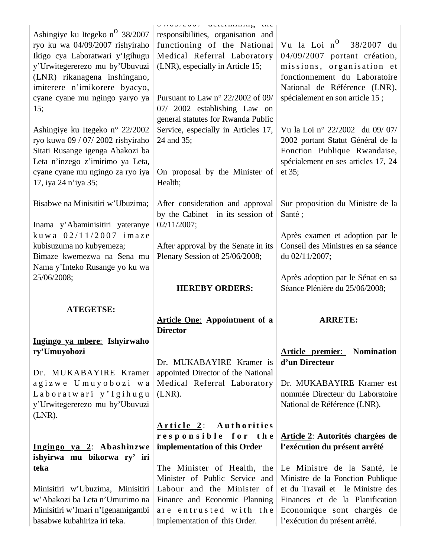| Ashingiye ku Itegeko n <sup>o</sup> 38/2007<br>ryo ku wa 04/09/2007 rishyiraho<br>Ikigo cya Laboratwari y'Igihugu<br>y'Urwitegererezo mu by'Ubuvuzi<br>(LNR) rikanagena inshingano,<br>imiterere n'imikorere byacyo,<br>cyane cyane mu ngingo yaryo ya<br>15;<br>Ashingiye ku Itegeko n° 22/2002<br>ryo kuwa 09 / 07/ 2002 rishyiraho<br>Sitati Rusange igenga Abakozi ba<br>Leta n'inzego z'imirimo ya Leta,<br>cyane cyane mu ngingo za ryo iya | $V \cup V \cup I = V \cup V$ with the state $W$<br>responsibilities, organisation and<br>functioning of the National<br>Medical Referral Laboratory<br>(LNR), especially in Article 15;<br>Pursuant to Law $n^{\circ}$ 22/2002 of 09/<br>07/ 2002 establishing Law on<br>general statutes for Rwanda Public<br>Service, especially in Articles 17,<br>24 and 35;<br>On proposal by the Minister of | Vu la Loi n <sup>0</sup> 38/2007 du<br>04/09/2007 portant création,<br>missions, organisation et<br>fonctionnement du Laboratoire<br>National de Référence (LNR),<br>spécialement en son article 15;<br>Vu la Loi nº 22/2002 du 09/07/<br>2002 portant Statut Général de la<br>Fonction Publique Rwandaise,<br>spécialement en ses articles 17, 24<br>et 35; |
|---------------------------------------------------------------------------------------------------------------------------------------------------------------------------------------------------------------------------------------------------------------------------------------------------------------------------------------------------------------------------------------------------------------------------------------------------|----------------------------------------------------------------------------------------------------------------------------------------------------------------------------------------------------------------------------------------------------------------------------------------------------------------------------------------------------------------------------------------------------|--------------------------------------------------------------------------------------------------------------------------------------------------------------------------------------------------------------------------------------------------------------------------------------------------------------------------------------------------------------|
| 17, iya 24 n'iya 35;<br>Bisabwe na Minisitiri w'Ubuzima;                                                                                                                                                                                                                                                                                                                                                                                          | Health;<br>After consideration and approval                                                                                                                                                                                                                                                                                                                                                        | Sur proposition du Ministre de la                                                                                                                                                                                                                                                                                                                            |
| Inama y'Abaminisitiri yateranye                                                                                                                                                                                                                                                                                                                                                                                                                   | by the Cabinet in its session of<br>02/11/2007;                                                                                                                                                                                                                                                                                                                                                    | Santé;                                                                                                                                                                                                                                                                                                                                                       |
| kuwa $02/11/2007$ imaze<br>kubisuzuma no kubyemeza;<br>Bimaze kwemezwa na Sena mu<br>Nama y'Inteko Rusange yo ku wa                                                                                                                                                                                                                                                                                                                               | After approval by the Senate in its<br>Plenary Session of 25/06/2008;                                                                                                                                                                                                                                                                                                                              | Après examen et adoption par le<br>Conseil des Ministres en sa séance<br>du 02/11/2007;                                                                                                                                                                                                                                                                      |
| 25/06/2008;                                                                                                                                                                                                                                                                                                                                                                                                                                       |                                                                                                                                                                                                                                                                                                                                                                                                    | Après adoption par le Sénat en sa                                                                                                                                                                                                                                                                                                                            |
|                                                                                                                                                                                                                                                                                                                                                                                                                                                   | <b>HEREBY ORDERS:</b>                                                                                                                                                                                                                                                                                                                                                                              | Séance Plénière du 25/06/2008;                                                                                                                                                                                                                                                                                                                               |
| <b>ATEGETSE:</b>                                                                                                                                                                                                                                                                                                                                                                                                                                  |                                                                                                                                                                                                                                                                                                                                                                                                    |                                                                                                                                                                                                                                                                                                                                                              |
|                                                                                                                                                                                                                                                                                                                                                                                                                                                   | <b>Article One:</b> Appointment of a<br><b>Director</b>                                                                                                                                                                                                                                                                                                                                            | <b>ARRETE:</b>                                                                                                                                                                                                                                                                                                                                               |
| Ingingo ya mbere: Ishyirwaho                                                                                                                                                                                                                                                                                                                                                                                                                      |                                                                                                                                                                                                                                                                                                                                                                                                    |                                                                                                                                                                                                                                                                                                                                                              |
| ry'Umuyobozi                                                                                                                                                                                                                                                                                                                                                                                                                                      |                                                                                                                                                                                                                                                                                                                                                                                                    | <b>Article premier:</b> Nomination                                                                                                                                                                                                                                                                                                                           |
| Dr. MUKABAYIRE Kramer                                                                                                                                                                                                                                                                                                                                                                                                                             | Dr. MUKABAYIRE Kramer is<br>appointed Director of the National                                                                                                                                                                                                                                                                                                                                     | d'un Directeur                                                                                                                                                                                                                                                                                                                                               |
| agizwe Umuyobozi wa                                                                                                                                                                                                                                                                                                                                                                                                                               | Medical Referral Laboratory                                                                                                                                                                                                                                                                                                                                                                        | Dr. MUKABAYIRE Kramer est                                                                                                                                                                                                                                                                                                                                    |
| Laboratwari y'Igihugu                                                                                                                                                                                                                                                                                                                                                                                                                             | $(LNR)$ .                                                                                                                                                                                                                                                                                                                                                                                          | nommée Directeur du Laboratoire                                                                                                                                                                                                                                                                                                                              |
| y'Urwitegererezo mu by'Ubuvuzi<br>$(LNR)$ .                                                                                                                                                                                                                                                                                                                                                                                                       |                                                                                                                                                                                                                                                                                                                                                                                                    | National de Référence (LNR).                                                                                                                                                                                                                                                                                                                                 |
|                                                                                                                                                                                                                                                                                                                                                                                                                                                   | Article 2: Authorities                                                                                                                                                                                                                                                                                                                                                                             |                                                                                                                                                                                                                                                                                                                                                              |
|                                                                                                                                                                                                                                                                                                                                                                                                                                                   | responsible for the                                                                                                                                                                                                                                                                                                                                                                                | Article 2: Autorités chargées de                                                                                                                                                                                                                                                                                                                             |
| Ingingo ya 2: Abashinzwe                                                                                                                                                                                                                                                                                                                                                                                                                          | implementation of this Order                                                                                                                                                                                                                                                                                                                                                                       | l'exécution du présent arrêté                                                                                                                                                                                                                                                                                                                                |
| ishyirwa mu bikorwa ry' iri<br>teka                                                                                                                                                                                                                                                                                                                                                                                                               | The Minister of Health, the                                                                                                                                                                                                                                                                                                                                                                        | Le Ministre de la Santé, le                                                                                                                                                                                                                                                                                                                                  |
| Minisitiri w'Ubuzima, Minisitiri                                                                                                                                                                                                                                                                                                                                                                                                                  | Minister of Public Service and<br>Labour and the Minister of                                                                                                                                                                                                                                                                                                                                       | Ministre de la Fonction Publique<br>et du Travail et le Ministre des                                                                                                                                                                                                                                                                                         |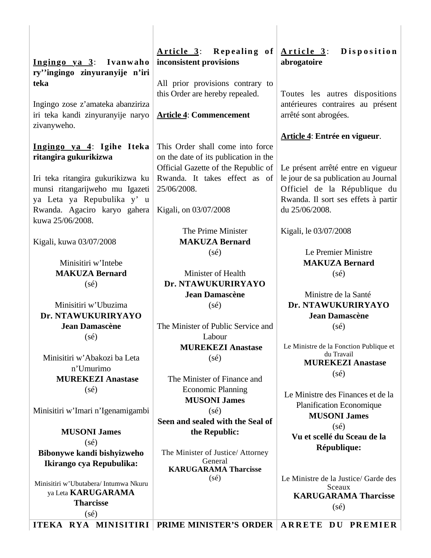| Ingingo ya 3: Ivanwaho<br>ry''ingingo zinyuranyije n'iri<br>teka<br>Ingingo zose z'amateka abanziriza<br>iri teka kandi zinyuranyije naryo<br>zivanyweho. | Repealing of<br><u>Article 3:</u><br>inconsistent provisions<br>All prior provisions contrary to<br>this Order are hereby repealed.<br><b>Article 4: Commencement</b> | Disposition<br><u>Article 3:</u><br>abrogatoire<br>Toutes les autres dispositions<br>antérieures contraires au présent<br>arrêté sont abrogées. |
|-----------------------------------------------------------------------------------------------------------------------------------------------------------|-----------------------------------------------------------------------------------------------------------------------------------------------------------------------|-------------------------------------------------------------------------------------------------------------------------------------------------|
| Ingingo ya 4: Igihe Iteka<br>ritangira gukurikizwa                                                                                                        | This Order shall come into force<br>on the date of its publication in the<br>Official Gazette of the Republic of                                                      | Article 4: Entrée en vigueur.<br>Le présent arrêté entre en vigueur                                                                             |
| Iri teka ritangira gukurikizwa ku<br>munsi ritangarijweho mu Igazeti<br>ya Leta ya Repubulika y' u<br>Rwanda. Agaciro karyo gahera<br>kuwa 25/06/2008.    | Rwanda. It takes effect as of<br>25/06/2008.<br>Kigali, on 03/07/2008                                                                                                 | le jour de sa publication au Journal<br>Officiel de la République du<br>Rwanda. Il sort ses effets à partir<br>du 25/06/2008.                   |
| Kigali, kuwa 03/07/2008                                                                                                                                   | The Prime Minister<br><b>MAKUZA Bernard</b>                                                                                                                           | Kigali, le 03/07/2008                                                                                                                           |
| Minisitiri w'Intebe<br><b>MAKUZA Bernard</b>                                                                                                              | $(s\acute{e})$<br>Minister of Health                                                                                                                                  | Le Premier Ministre<br><b>MAKUZA Bernard</b><br>$(s\acute{e})$                                                                                  |
| $(s\acute{e})$                                                                                                                                            | Dr. NTAWUKURIRYAYO<br><b>Jean Damascène</b>                                                                                                                           | Ministre de la Santé                                                                                                                            |
| Minisitiri w'Ubuzima<br>Dr. NTAWUKURIRYAYO                                                                                                                | $(s\acute{e})$                                                                                                                                                        | Dr. NTAWUKURIRYAYO<br><b>Jean Damascène</b>                                                                                                     |
| <b>Jean Damascène</b>                                                                                                                                     | The Minister of Public Service and                                                                                                                                    | $(s\acute{e})$                                                                                                                                  |
| $(s\acute{e})$                                                                                                                                            | Labour                                                                                                                                                                |                                                                                                                                                 |
|                                                                                                                                                           | <b>MUREKEZI Anastase</b>                                                                                                                                              | Le Ministre de la Fonction Publique et<br>du Travail                                                                                            |
| Minisitiri w'Abakozi ba Leta                                                                                                                              | $(s\acute{e})$                                                                                                                                                        | <b>MUREKEZI Anastase</b>                                                                                                                        |
| n'Umurimo<br><b>MUREKEZI Anastase</b>                                                                                                                     | The Minister of Finance and                                                                                                                                           | $(s\acute{e})$                                                                                                                                  |
| $(s\acute{e})$                                                                                                                                            | <b>Economic Planning</b><br><b>MUSONI James</b>                                                                                                                       | Le Ministre des Finances et de la                                                                                                               |
| Minisitiri w'Imari n'Igenamigambi                                                                                                                         | $(s\acute{e})$<br>Seen and sealed with the Seal of                                                                                                                    | Planification Economique<br><b>MUSONI James</b><br>$(s\acute{e})$                                                                               |
| <b>MUSONI James</b>                                                                                                                                       | the Republic:                                                                                                                                                         | Vu et scellé du Sceau de la                                                                                                                     |
| $(s\acute{e})$                                                                                                                                            |                                                                                                                                                                       | République:                                                                                                                                     |
| Bibonywe kandi bishyizweho<br>Ikirango cya Repubulika:                                                                                                    | The Minister of Justice/ Attorney<br>General<br><b>KARUGARAMA Tharcisse</b>                                                                                           |                                                                                                                                                 |
| Minisitiri w'Ubutabera/ Intumwa Nkuru<br>ya Leta <b>KARUGARAMA</b><br><b>Tharcisse</b>                                                                    | $(s\acute{e})$                                                                                                                                                        | Le Ministre de la Justice/ Garde des<br>Sceaux<br><b>KARUGARAMA Tharcisse</b><br>$(s\acute{e})$                                                 |
| $(s\acute{e})$                                                                                                                                            | MINICIPIDI DOLLE MINICEDIC ODDED A DDETE DIL DDEMIED                                                                                                                  |                                                                                                                                                 |

| ITEKA RYA MINISITIRI | PRIME MINISTER'S ORDER | ARRETE DU PREMIER |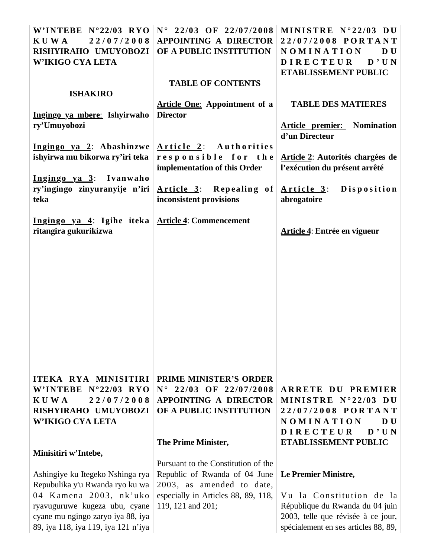|                                                           | W'INTEBE N°22/03 RYO N° 22/03 OF 22/07/2008 | MINISTRE N°22/03 DU                  |
|-----------------------------------------------------------|---------------------------------------------|--------------------------------------|
| <b>KUWA</b><br>22/07/2008                                 | <b>APPOINTING A DIRECTOR</b>                | 22/07/2008 PORTANT                   |
| RISHYIRAHO UMUYOBOZI                                      | OF A PUBLIC INSTITUTION                     | NOMINATION<br>D U                    |
| W'IKIGO CYA LETA                                          |                                             | D'UN<br><b>DIRECTEUR</b>             |
|                                                           |                                             | ETABLISSEMENT PUBLIC                 |
|                                                           | <b>TABLE OF CONTENTS</b>                    |                                      |
| <b>ISHAKIRO</b>                                           |                                             |                                      |
|                                                           | <b>Article One:</b> Appointment of a        | <b>TABLE DES MATIERES</b>            |
| Ingingo ya mbere: Ishyirwaho                              | <b>Director</b>                             |                                      |
| ry'Umuyobozi                                              |                                             | <b>Article premier:</b> Nomination   |
|                                                           |                                             | d'un Directeur                       |
|                                                           |                                             |                                      |
| Ingingo ya 2: Abashinzwe                                  | Article 2: Authorities                      |                                      |
| ishyirwa mu bikorwa ry'iri teka                           | responsible for the                         | Article 2: Autorités chargées de     |
|                                                           | implementation of this Order                | l'exécution du présent arrêté        |
| Ingingo ya 3: Ivanwaho                                    |                                             |                                      |
| ry'ingingo zinyuranyije n'iri                             | Article $3$ : Repealing of                  | Article 3: Disposition               |
| teka                                                      | inconsistent provisions                     | abrogatoire                          |
|                                                           |                                             |                                      |
| Ingingo ya 4: Igihe iteka $\vert$ Article 4: Commencement |                                             |                                      |
| ritangira gukurikizwa                                     |                                             | Article 4: Entrée en vigueur         |
|                                                           |                                             |                                      |
|                                                           |                                             |                                      |
|                                                           |                                             |                                      |
|                                                           |                                             |                                      |
|                                                           |                                             |                                      |
|                                                           |                                             |                                      |
|                                                           |                                             |                                      |
|                                                           |                                             |                                      |
|                                                           |                                             |                                      |
|                                                           |                                             |                                      |
|                                                           |                                             |                                      |
|                                                           |                                             |                                      |
|                                                           |                                             |                                      |
|                                                           |                                             |                                      |
| ITEKA RYA MINISITIRI                                      | <b>PRIME MINISTER'S ORDER</b>               |                                      |
| W'INTEBE $N^{\circ}22/03$ RYO                             | $N^{\circ}$ 22/03 OF 22/07/2008             | ARRETE DU PREMIER                    |
| <b>KUWA</b><br>22/07/2008                                 | <b>APPOINTING A DIRECTOR</b>                | MINISTRE N°22/03 DU                  |
| RISHYIRAHO UMUYOBOZI                                      | OF A PUBLIC INSTITUTION                     | 22/07/2008 PORTANT                   |
| <b>W'IKIGO CYA LETA</b>                                   |                                             | NOMINATION<br>D U                    |
|                                                           |                                             | D'UN<br><b>DIRECTEUR</b>             |
|                                                           | The Prime Minister,                         | <b>ETABLISSEMENT PUBLIC</b>          |
| Minisitiri w'Intebe,                                      |                                             |                                      |
|                                                           | Pursuant to the Constitution of the         |                                      |
| Ashingiye ku Itegeko Nshinga rya                          | Republic of Rwanda of 04 June               | Le Premier Ministre,                 |
| Repubulika y'u Rwanda ryo ku wa                           | 2003, as amended to date,                   |                                      |
|                                                           |                                             |                                      |
| 04 Kamena 2003, nk'uko                                    | especially in Articles 88, 89, 118,         | Vu la Constitution de la             |
| ryavuguruwe kugeza ubu, cyane                             | 119, 121 and 201;                           | République du Rwanda du 04 juin      |
| cyane mu ngingo zaryo iya 88, iya                         |                                             | 2003, telle que révisée à ce jour,   |
| 89, iya 118, iya 119, iya 121 n'iya                       |                                             | spécialement en ses articles 88, 89, |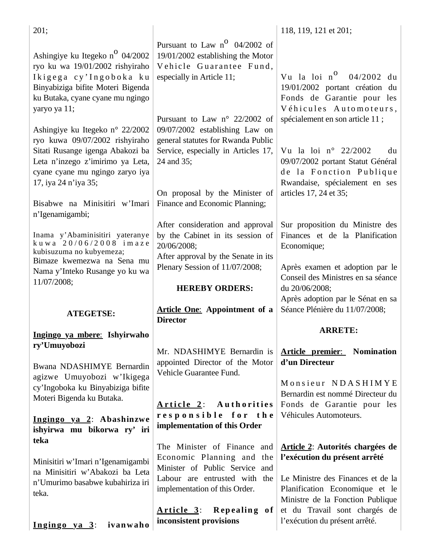| 201;                                                                                                                                                                                                                                  |                                                                                                                                                                                                                                         | 118, 119, 121 et 201;                                                                                                                                                                     |
|---------------------------------------------------------------------------------------------------------------------------------------------------------------------------------------------------------------------------------------|-----------------------------------------------------------------------------------------------------------------------------------------------------------------------------------------------------------------------------------------|-------------------------------------------------------------------------------------------------------------------------------------------------------------------------------------------|
| Ashingiye ku Itegeko n <sup>o</sup> 04/2002<br>ryo ku wa 19/01/2002 rishyiraho<br>Ikigega cy'Ingoboka ku<br>Binyabiziga bifite Moteri Bigenda<br>ku Butaka, cyane cyane mu ngingo<br>yaryo ya 11;                                     | Pursuant to Law $n^O$ 04/2002 of<br>19/01/2002 establishing the Motor<br>Vehicle Guarantee Fund,<br>especially in Article 11;                                                                                                           | Vu la loi $n^0$ 04/2002 du<br>19/01/2002 portant création du<br>Fonds de Garantie pour les<br>Véhicules Automoteurs,                                                                      |
| Ashingiye ku Itegeko n° 22/2002<br>ryo kuwa 09/07/2002 rishyiraho<br>Sitati Rusange igenga Abakozi ba<br>Leta n'inzego z'imirimo ya Leta,<br>cyane cyane mu ngingo zaryo iya<br>17, iya 24 n'iya 35;<br>Bisabwe na Minisitiri w'Imari | Pursuant to Law $n^{\circ}$ 22/2002 of<br>09/07/2002 establishing Law on<br>general statutes for Rwanda Public<br>Service, especially in Articles 17,<br>24 and 35;<br>On proposal by the Minister of<br>Finance and Economic Planning; | spécialement en son article 11;<br>Vu la loi nº 22/2002<br>du<br>09/07/2002 portant Statut Général<br>de la Fonction Publique<br>Rwandaise, spécialement en ses<br>articles 17, 24 et 35; |
| n'Igenamigambi;<br>Inama y'Abaminisitiri yateranye<br>kuwa 20/06/2008 imaze<br>kubisuzuma no kubyemeza;<br>Bimaze kwemezwa na Sena mu<br>Nama y'Inteko Rusange yo ku wa<br>11/07/2008;                                                | After consideration and approval<br>by the Cabinet in its session of<br>20/06/2008;<br>After approval by the Senate in its<br>Plenary Session of 11/07/2008;                                                                            | Sur proposition du Ministre des<br>Finances et de la Planification<br>Economique;<br>Après examen et adoption par le<br>Conseil des Ministres en sa séance                                |
|                                                                                                                                                                                                                                       |                                                                                                                                                                                                                                         |                                                                                                                                                                                           |
| <b>ATEGETSE:</b>                                                                                                                                                                                                                      | <b>HEREBY ORDERS:</b><br><b>Article One:</b> Appointment of a<br><b>Director</b>                                                                                                                                                        | du 20/06/2008;<br>Après adoption par le Sénat en sa<br>Séance Plénière du 11/07/2008;                                                                                                     |
| Ingingo ya mbere: Ishyirwaho                                                                                                                                                                                                          |                                                                                                                                                                                                                                         | <b>ARRETE:</b>                                                                                                                                                                            |
| ry'Umuyobozi<br>Bwana NDASHIMYE Bernardin                                                                                                                                                                                             | Mr. NDASHIMYE Bernardin is<br>appointed Director of the Motor<br>Vehicle Guarantee Fund.                                                                                                                                                | <b>Article premier:</b> Nomination<br>d'un Directeur                                                                                                                                      |
| agizwe Umuyobozi w'Ikigega<br>cy'Ingoboka ku Binyabiziga bifite<br>Moteri Bigenda ku Butaka.<br>Ingingo ya 2: Abashinzwe                                                                                                              | Authorities<br><u>Article 2:</u><br>responsible for the<br>implementation of this Order                                                                                                                                                 | Monsieur NDASHIMYE<br>Bernardin est nommé Directeur du<br>Fonds de Garantie pour les<br>Véhicules Automoteurs.                                                                            |
| ishyirwa mu bikorwa ry' iri<br>teka<br>Minisitiri w'Imari n'Igenamigambi<br>na Minisitiri w'Abakozi ba Leta<br>n'Umurimo basabwe kubahiriza iri<br>teka.                                                                              | The Minister of Finance and<br>Economic Planning and the<br>Minister of Public Service and<br>Labour are entrusted with the<br>implementation of this Order.                                                                            | Article 2: Autorités chargées de<br>l'exécution du présent arrêté<br>Le Ministre des Finances et de la<br>Planification Economique et le<br>Ministre de la Fonction Publique              |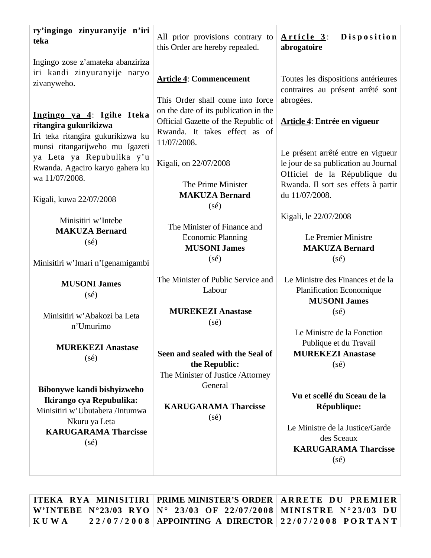| ry'ingingo zinyuranyije n'iri<br>teka                                                                                      | All prior provisions contrary to<br>this Order are hereby repealed.                                                          | Disposition<br>Article 3:<br>abrogatoire                                                                                                          |
|----------------------------------------------------------------------------------------------------------------------------|------------------------------------------------------------------------------------------------------------------------------|---------------------------------------------------------------------------------------------------------------------------------------------------|
| Ingingo zose z'amateka abanziriza<br>iri kandi zinyuranyije naryo<br>zivanyweho.                                           | <b>Article 4: Commencement</b><br>This Order shall come into force                                                           | Toutes les dispositions antérieures<br>contraires au présent arrêté sont<br>abrogées.                                                             |
| Ingingo ya 4: Igihe Iteka<br>ritangira gukurikizwa<br>Iri teka ritangira gukurikizwa ku<br>munsi ritangarijweho mu Igazeti | on the date of its publication in the<br>Official Gazette of the Republic of<br>Rwanda. It takes effect as of<br>11/07/2008. | Article 4: Entrée en vigueur                                                                                                                      |
| ya Leta ya Repubulika y'u<br>Rwanda. Agaciro karyo gahera ku<br>wa 11/07/2008.                                             | Kigali, on 22/07/2008<br>The Prime Minister                                                                                  | Le présent arrêté entre en vigueur<br>le jour de sa publication au Journal<br>Officiel de la République du<br>Rwanda. Il sort ses effets à partir |
| Kigali, kuwa 22/07/2008                                                                                                    | <b>MAKUZA Bernard</b><br>$(s\acute{e})$                                                                                      | du 11/07/2008.                                                                                                                                    |
| Minisitiri w'Intebe<br><b>MAKUZA Bernard</b><br>$(s\acute{e})$                                                             | The Minister of Finance and<br><b>Economic Planning</b><br><b>MUSONI James</b>                                               | Kigali, le 22/07/2008<br>Le Premier Ministre<br><b>MAKUZA Bernard</b>                                                                             |
| Minisitiri w'Imari n'Igenamigambi                                                                                          | $(s\acute{e})$                                                                                                               | $(s\acute{e})$                                                                                                                                    |
| <b>MUSONI James</b><br>$(s\acute{e})$                                                                                      | The Minister of Public Service and<br>Labour                                                                                 | Le Ministre des Finances et de la<br><b>Planification Economique</b><br><b>MUSONI James</b>                                                       |
| Minisitiri w'Abakozi ba Leta<br>n'Umurimo                                                                                  | <b>MUREKEZI Anastase</b><br>$(s\acute{e})$                                                                                   | $(s\acute{e})$                                                                                                                                    |
| <b>MUREKEZI Anastase</b><br>$(s\acute{e})$                                                                                 | Seen and sealed with the Seal of<br>the Republic:                                                                            | Le Ministre de la Fonction<br>Publique et du Travail<br><b>MUREKEZI Anastase</b><br>$(s\acute{e})$                                                |
| Bibonywe kandi bishyizweho<br>Ikirango cya Repubulika:                                                                     | The Minister of Justice / Attorney<br>General                                                                                | Vu et scellé du Sceau de la                                                                                                                       |
| Minisitiri w'Ubutabera /Intumwa<br>Nkuru ya Leta                                                                           | <b>KARUGARAMA Tharcisse</b><br>$(s\acute{e})$                                                                                | République:                                                                                                                                       |
| <b>KARUGARAMA Tharcisse</b><br>$(s\acute{e})$                                                                              |                                                                                                                              | Le Ministre de la Justice/Garde<br>des Sceaux<br><b>KARUGARAMA Tharcisse</b><br>$(s\acute{e})$                                                    |
|                                                                                                                            | ITEKA DVA MINICITIDI DDIME MINICTED'S ODDED ADDETE DII DDEMIED                                                               |                                                                                                                                                   |

ITEKA RYA MINISITIRI | PRIME MINISTER'S ORDER | ARRETE DU PREMIER W'INTEBE N°23/03 RYO | N° 23/03 OF 22/07/2008 | MINISTRE N°23/03 DU **K U W A 2 2 / 0 7 / 2 0 0 8 APPOINTING A DIRECTOR 2 2 / 0 7 / 2 0 0 8 P O R T A N T**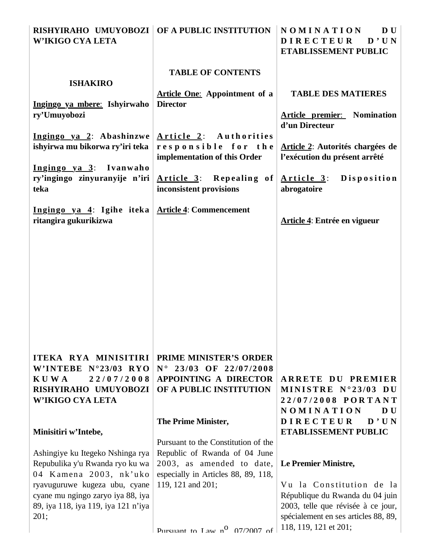|                                     | RISHYIRAHO UMUYOBOZI   OF A PUBLIC INSTITUTION | NOMINATION<br>D U                    |
|-------------------------------------|------------------------------------------------|--------------------------------------|
| W'IKIGO CYA LETA                    |                                                | <b>DIRECTEUR</b><br>D'UN             |
|                                     |                                                | ETABLISSEMENT PUBLIC                 |
|                                     |                                                |                                      |
|                                     | <b>TABLE OF CONTENTS</b>                       |                                      |
| <b>ISHAKIRO</b>                     |                                                |                                      |
|                                     |                                                | <b>TABLE DES MATIERES</b>            |
|                                     | <b>Article One:</b> Appointment of a           |                                      |
| Ingingo ya mbere: Ishyirwaho        | <b>Director</b>                                |                                      |
| ry'Umuyobozi                        |                                                | <b>Article premier:</b> Nomination   |
|                                     |                                                | d'un Directeur                       |
| Ingingo ya 2: Abashinzwe            | Article 2: Authorities                         |                                      |
| ishyirwa mu bikorwa ry'iri teka     | responsible for the                            | Article 2: Autorités chargées de     |
|                                     | implementation of this Order                   | l'exécution du présent arrêté        |
| Ingingo ya 3: Ivanwaho              |                                                |                                      |
| ry'ingingo zinyuranyije n'iri       | Article $3$ : Repealing of                     | <b>Disposition</b><br>Article 3:     |
| teka                                | inconsistent provisions                        | abrogatoire                          |
|                                     |                                                |                                      |
| Ingingo ya 4: Igihe iteka           | <b>Article 4: Commencement</b>                 |                                      |
| ritangira gukurikizwa               |                                                | Article 4: Entrée en vigueur         |
|                                     |                                                |                                      |
|                                     |                                                |                                      |
|                                     |                                                |                                      |
|                                     |                                                |                                      |
|                                     |                                                |                                      |
|                                     |                                                |                                      |
|                                     |                                                |                                      |
|                                     |                                                |                                      |
|                                     |                                                |                                      |
|                                     |                                                |                                      |
|                                     |                                                |                                      |
|                                     |                                                |                                      |
|                                     |                                                |                                      |
| ITEKA RYA MINISITIRI                | <b>PRIME MINISTER'S ORDER</b>                  |                                      |
| W'INTEBE N°23/03 RYO                | $N^{\circ}$ 23/03 OF 22/07/2008                |                                      |
|                                     |                                                |                                      |
| 22/07/2008<br><b>KUWA</b>           | <b>APPOINTING A DIRECTOR</b>                   | ARRETE DU PREMIER                    |
| RISHYIRAHO UMUYOBOZI                | OF A PUBLIC INSTITUTION                        | MINISTRE N°23/03 DU                  |
| <b>W'IKIGO CYA LETA</b>             |                                                | 22/07/2008 PORTANT                   |
|                                     |                                                | NOMINATION<br>D U                    |
|                                     | The Prime Minister,                            | D'UN<br><b>DIRECTEUR</b>             |
| Minisitiri w'Intebe,                |                                                | ETABLISSEMENT PUBLIC                 |
|                                     | Pursuant to the Constitution of the            |                                      |
| Ashingiye ku Itegeko Nshinga rya    | Republic of Rwanda of 04 June                  |                                      |
| Repubulika y'u Rwanda ryo ku wa     | 2003, as amended to date,                      | Le Premier Ministre,                 |
| 04 Kamena 2003, nk'uko              | especially in Articles 88, 89, 118,            |                                      |
| ryavuguruwe kugeza ubu, cyane       | 119, 121 and 201;                              | Vu la Constitution de la             |
| cyane mu ngingo zaryo iya 88, iya   |                                                | République du Rwanda du 04 juin      |
|                                     |                                                |                                      |
| 89, iya 118, iya 119, iya 121 n'iya |                                                | 2003, telle que révisée à ce jour,   |
| 201;                                |                                                | spécialement en ses articles 88, 89, |
|                                     | Pursuant to Law n <sup>0</sup> 07/2007 of      | 118, 119, 121 et 201;                |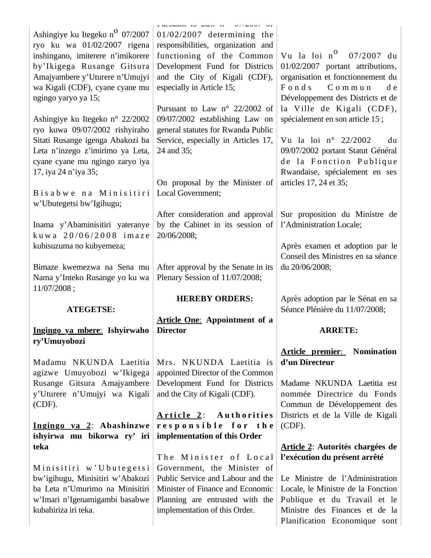| Ashingiye ku Itegeko n <sup>o</sup> 07/2007<br>ryo ku wa 01/02/2007 rigena<br>inshingano, imiterere n'imikorere<br>by'Ikigega Rusange Gitsura<br>Amajyambere y'Uturere n'Umujyi<br>wa Kigali (CDF), cyane cyane mu<br>ngingo yaryo ya 15; | r arguant to Law n<br>$VII$ AVVI VI<br>$01/02/2007$ determining the<br>responsibilities, organization and<br>functioning of the Common<br>Development Fund for Districts<br>and the City of Kigali (CDF),<br>especially in Article 15;<br>Pursuant to Law n° 22/2002 of | Vu la loi n <sup>0</sup> 07/2007 du<br>01/02/2007 portant attributions,<br>organisation et fonctionnement du<br>Fonds Commun<br>d e<br>Développement des Districts et de<br>la Ville de Kigali (CDF), |
|-------------------------------------------------------------------------------------------------------------------------------------------------------------------------------------------------------------------------------------------|-------------------------------------------------------------------------------------------------------------------------------------------------------------------------------------------------------------------------------------------------------------------------|-------------------------------------------------------------------------------------------------------------------------------------------------------------------------------------------------------|
| Ashingiye ku Itegeko n° 22/2002<br>ryo kuwa 09/07/2002 rishyiraho<br>Sitati Rusange igenga Abakozi ba                                                                                                                                     | 09/07/2002 establishing Law on<br>general statutes for Rwanda Public<br>Service, especially in Articles 17,                                                                                                                                                             | spécialement en son article 15 ;<br>Vu la loi $n^{\circ}$ 22/2002<br>du                                                                                                                               |
| Leta n'inzego z'imirimo ya Leta,<br>cyane cyane mu ngingo zaryo iya<br>17, iya 24 n'iya 35;                                                                                                                                               | 24 and 35;                                                                                                                                                                                                                                                              | 09/07/2002 portant Statut Général<br>de la Fonction Publique<br>Rwandaise, spécialement en ses                                                                                                        |
| Bisabwe na Minisitiri<br>w'Ubutegetsi bw'Igihugu;                                                                                                                                                                                         | On proposal by the Minister of<br>Local Government;                                                                                                                                                                                                                     | articles 17, 24 et 35;                                                                                                                                                                                |
| Inama y'Abaminisitiri yateranye<br>kuwa 20/06/2008 imaze                                                                                                                                                                                  | After consideration and approval<br>by the Cabinet in its session of<br>20/06/2008;                                                                                                                                                                                     | Sur proposition du Ministre de<br>l'Administration Locale;                                                                                                                                            |
| kubisuzuma no kubyemeza;<br>Bimaze kwemezwa na Sena mu                                                                                                                                                                                    | After approval by the Senate in its                                                                                                                                                                                                                                     | Après examen et adoption par le<br>Conseil des Ministres en sa séance<br>du 20/06/2008;                                                                                                               |
| Nama y'Inteko Rusange yo ku wa<br>11/07/2008;                                                                                                                                                                                             | Plenary Session of 11/07/2008;                                                                                                                                                                                                                                          |                                                                                                                                                                                                       |
|                                                                                                                                                                                                                                           |                                                                                                                                                                                                                                                                         |                                                                                                                                                                                                       |
| <b>ATEGETSE:</b>                                                                                                                                                                                                                          | <b>HEREBY ORDERS:</b>                                                                                                                                                                                                                                                   | Après adoption par le Sénat en sa<br>Séance Plénière du 11/07/2008;                                                                                                                                   |
| Ingingo ya mbere: Ishyirwaho                                                                                                                                                                                                              | <b>Article One:</b> Appointment of a<br><b>Director</b>                                                                                                                                                                                                                 | <b>ARRETE:</b>                                                                                                                                                                                        |
| ry'Umuyobozi                                                                                                                                                                                                                              |                                                                                                                                                                                                                                                                         | <b>Article premier:</b> Nomination                                                                                                                                                                    |
| Madamu NKUNDA Laetitia                                                                                                                                                                                                                    | Mrs. NKUNDA Laetitia is                                                                                                                                                                                                                                                 | d'un Directeur                                                                                                                                                                                        |
| agizwe Umuyobozi w'Ikigega<br>Rusange Gitsura Amajyambere<br>y'Uturere n'Umujyi wa Kigali<br>$(CDF)$ .                                                                                                                                    | appointed Director of the Common<br>Development Fund for Districts<br>and the City of Kigali (CDF).                                                                                                                                                                     | Madame NKUNDA Laetitia est<br>nommée Directrice du Fonds<br>Commun de Développement des                                                                                                               |
| Ingingo ya 2: Abashinzwe<br>ishyirwa mu bikorwa ry' iri                                                                                                                                                                                   | Authorities<br><u>Article 2:</u><br>responsible for the<br>implementation of this Order                                                                                                                                                                                 | Districts et de la Ville de Kigali<br>(CDF).                                                                                                                                                          |
| teka                                                                                                                                                                                                                                      | The Minister of Local                                                                                                                                                                                                                                                   | Article 2: Autorités chargées de<br>l'exécution du présent arrêté                                                                                                                                     |